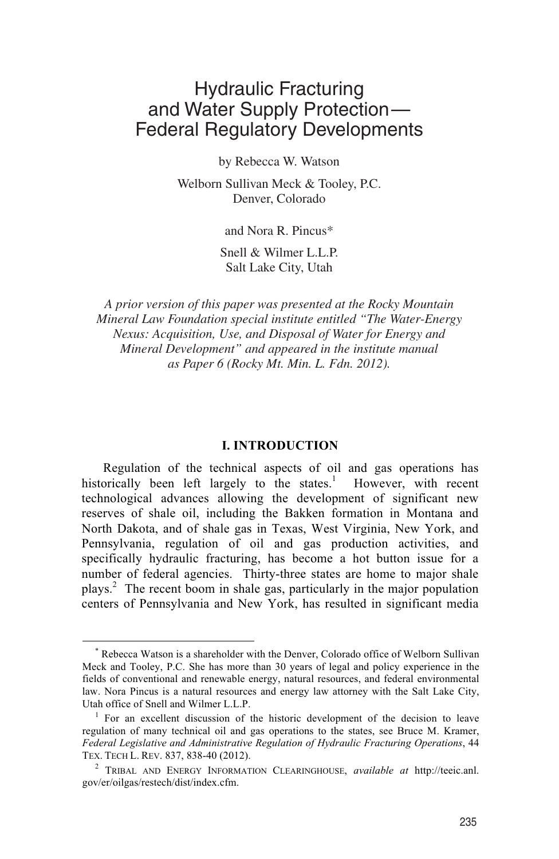# Hydraulic Fracturing and Water Supply Protection— Federal Regulatory Developments

by Rebecca W. Watson

Welborn Sullivan Meck & Tooley, P.C. Denver, Colorado

and Nora R. Pincus\*

 Salt Lake City, Utah Snell & Wilmer L.L.P.

*A prior version of this paper was presented at the Rocky Mountain Mineral Law Foundation special institute entitled "The Water-Energy Nexus: Acquisition, Use, and Disposal of Water for Energy and Mineral Development" and appeared in the institute manual as Paper 6 (Rocky Mt. Min. L. Fdn. 2012).*

#### **I. INTRODUCTION**

Regulation of the technical aspects of oil and gas operations has historically been left largely to the states.<sup>1</sup> However, with recent technological advances allowing the development of significant new reserves of shale oil, including the Bakken formation in Montana and North Dakota, and of shale gas in Texas, West Virginia, New York, and Pennsylvania, regulation of oil and gas production activities, and specifically hydraulic fracturing, has become a hot button issue for a number of federal agencies. Thirty-three states are home to major shale plays.<sup>2</sup> The recent boom in shale gas, particularly in the major population centers of Pennsylvania and New York, has resulted in significant media

 <sup>\*</sup> Rebecca Watson is a shareholder with the Denver, Colorado office of Welborn Sullivan Meck and Tooley, P.C. She has more than 30 years of legal and policy experience in the fields of conventional and renewable energy, natural resources, and federal environmental law. Nora Pincus is a natural resources and energy law attorney with the Salt Lake City, Utah office of Snell and Wilmer L.L.P. 1

 $1$  For an excellent discussion of the historic development of the decision to leave regulation of many technical oil and gas operations to the states, see Bruce M. Kramer, *Federal Legislative and Administrative Regulation of Hydraulic Fracturing Operations*, 44 TEX. TECH L. REV. 837, 838-40 (2012). 2

TRIBAL AND ENERGY INFORMATION CLEARINGHOUSE, *available at* http://teeic.anl. gov/er/oilgas/restech/dist/index.cfm.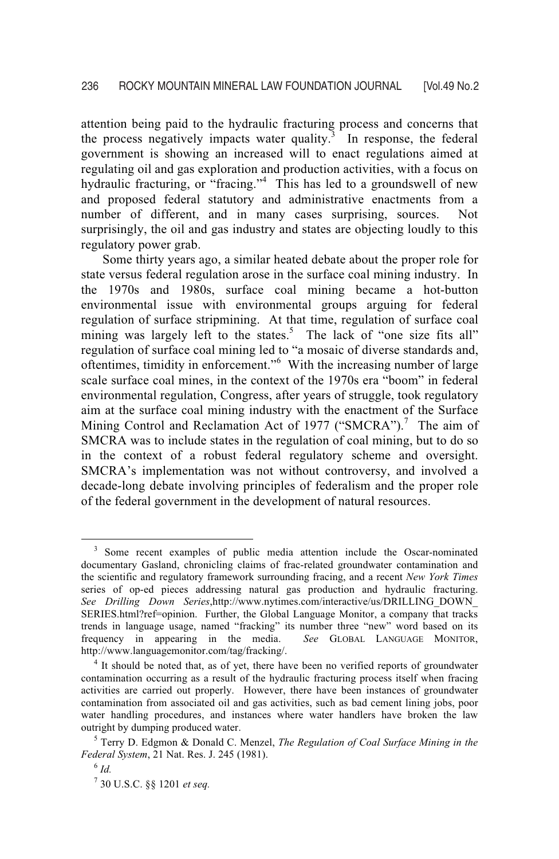attention being paid to the hydraulic fracturing process and concerns that the process negatively impacts water quality. $3$  In response, the federal government is showing an increased will to enact regulations aimed at regulating oil and gas exploration and production activities, with a focus on hydraulic fracturing, or "fracing."<sup>4</sup> This has led to a groundswell of new and proposed federal statutory and administrative enactments from a number of different, and in many cases surprising, sources. Not surprisingly, the oil and gas industry and states are objecting loudly to this regulatory power grab.

Some thirty years ago, a similar heated debate about the proper role for state versus federal regulation arose in the surface coal mining industry. In the 1970s and 1980s, surface coal mining became a hot-button environmental issue with environmental groups arguing for federal regulation of surface stripmining. At that time, regulation of surface coal mining was largely left to the states.<sup>5</sup> The lack of "one size fits all" regulation of surface coal mining led to "a mosaic of diverse standards and, oftentimes, timidity in enforcement."<sup>6</sup> With the increasing number of large scale surface coal mines, in the context of the 1970s era "boom" in federal environmental regulation, Congress, after years of struggle, took regulatory aim at the surface coal mining industry with the enactment of the Surface Mining Control and Reclamation Act of 1977 ("SMCRA").<sup>7</sup> The aim of SMCRA was to include states in the regulation of coal mining, but to do so in the context of a robust federal regulatory scheme and oversight. SMCRA's implementation was not without controversy, and involved a decade-long debate involving principles of federalism and the proper role of the federal government in the development of natural resources.

<sup>&</sup>lt;sup>3</sup> Some recent examples of public media attention include the Oscar-nominated documentary Gasland, chronicling claims of frac-related groundwater contamination and the scientific and regulatory framework surrounding fracing, and a recent *New York Times* series of op-ed pieces addressing natural gas production and hydraulic fracturing. *See Drilling Down Series*,http://www.nytimes.com/interactive/us/DRILLING\_DOWN\_ SERIES.html?ref=opinion. Further, the Global Language Monitor, a company that tracks trends in language usage, named "fracking" its number three "new" word based on its frequency in appearing in the media. *See* GLOBAL LANGUAGE MONITOR, http://www.languagemonitor.com/tag/fracking/. 4

 $<sup>4</sup>$  It should be noted that, as of yet, there have been no verified reports of groundwater</sup> contamination occurring as a result of the hydraulic fracturing process itself when fracing activities are carried out properly. However, there have been instances of groundwater contamination from associated oil and gas activities, such as bad cement lining jobs, poor water handling procedures, and instances where water handlers have broken the law outright by dumping produced water.

Terry D. Edgmon & Donald C. Menzel, *The Regulation of Coal Surface Mining in the Federal System*, 21 Nat. Res. J. 245 (1981). 6 *Id.* 

<sup>7</sup> 30 U.S.C. §§ 1201 *et seq.*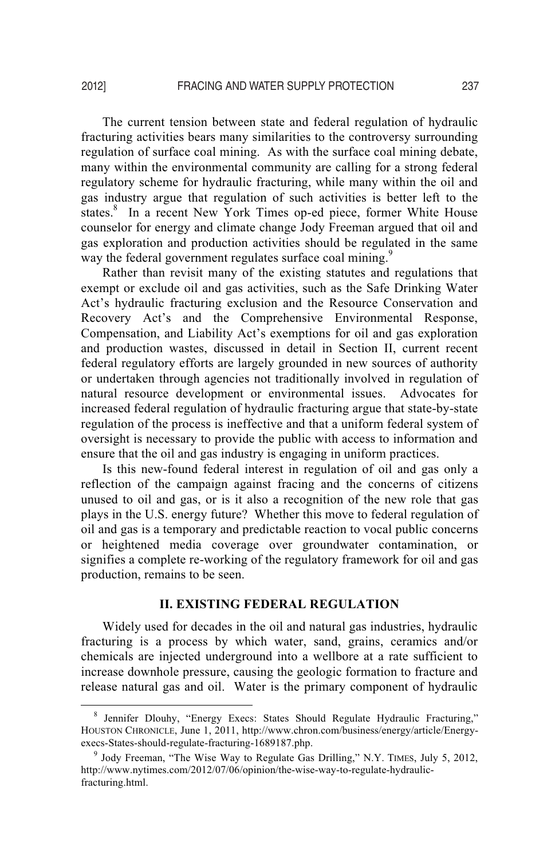The current tension between state and federal regulation of hydraulic fracturing activities bears many similarities to the controversy surrounding regulation of surface coal mining. As with the surface coal mining debate, many within the environmental community are calling for a strong federal regulatory scheme for hydraulic fracturing, while many within the oil and gas industry argue that regulation of such activities is better left to the states.<sup>8</sup> In a recent New York Times op-ed piece, former White House counselor for energy and climate change Jody Freeman argued that oil and gas exploration and production activities should be regulated in the same way the federal government regulates surface coal mining.<sup>9</sup>

Rather than revisit many of the existing statutes and regulations that exempt or exclude oil and gas activities, such as the Safe Drinking Water Act's hydraulic fracturing exclusion and the Resource Conservation and Recovery Act's and the Comprehensive Environmental Response, Compensation, and Liability Act's exemptions for oil and gas exploration and production wastes, discussed in detail in Section II, current recent federal regulatory efforts are largely grounded in new sources of authority or undertaken through agencies not traditionally involved in regulation of natural resource development or environmental issues. Advocates for increased federal regulation of hydraulic fracturing argue that state-by-state regulation of the process is ineffective and that a uniform federal system of oversight is necessary to provide the public with access to information and ensure that the oil and gas industry is engaging in uniform practices.

Is this new-found federal interest in regulation of oil and gas only a reflection of the campaign against fracing and the concerns of citizens unused to oil and gas, or is it also a recognition of the new role that gas plays in the U.S. energy future? Whether this move to federal regulation of oil and gas is a temporary and predictable reaction to vocal public concerns or heightened media coverage over groundwater contamination, or signifies a complete re-working of the regulatory framework for oil and gas production, remains to be seen.

# **II. EXISTING FEDERAL REGULATION**

Widely used for decades in the oil and natural gas industries, hydraulic fracturing is a process by which water, sand, grains, ceramics and/or chemicals are injected underground into a wellbore at a rate sufficient to increase downhole pressure, causing the geologic formation to fracture and release natural gas and oil. Water is the primary component of hydraulic

 $\frac{1}{8}$ <sup>8</sup> Jennifer Dlouhy, "Energy Execs: States Should Regulate Hydraulic Fracturing," HOUSTON CHRONICLE, June 1, 2011, http://www.chron.com/business/energy/article/Energyexecs-States-should-regulate-fracturing-1689187.php.

 $9$  Jody Freeman, "The Wise Way to Regulate Gas Drilling," N.Y. TIMES, July 5, 2012, http://www.nytimes.com/2012/07/06/opinion/the-wise-way-to-regulate-hydraulicfracturing.html.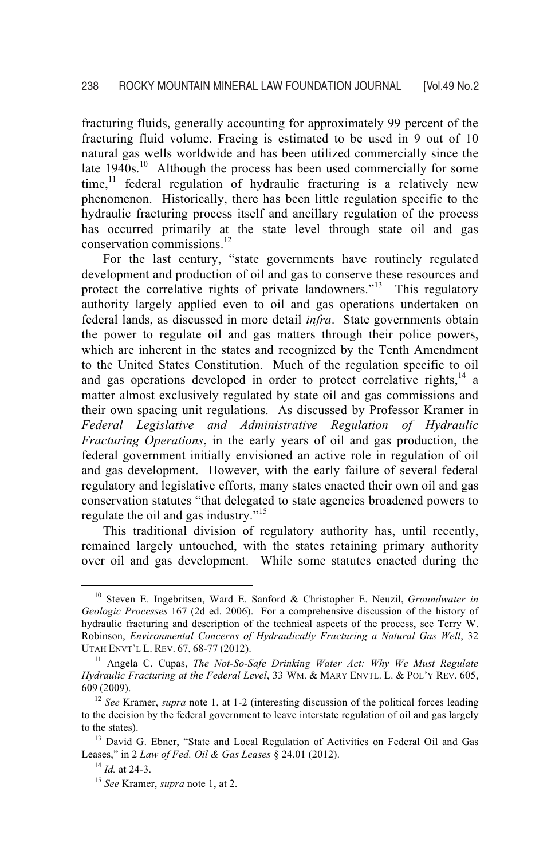fracturing fluids, generally accounting for approximately 99 percent of the fracturing fluid volume. Fracing is estimated to be used in 9 out of 10 natural gas wells worldwide and has been utilized commercially since the late  $1940s$ <sup>10</sup> Although the process has been used commercially for some time,<sup>11</sup> federal regulation of hydraulic fracturing is a relatively new phenomenon. Historically, there has been little regulation specific to the hydraulic fracturing process itself and ancillary regulation of the process has occurred primarily at the state level through state oil and gas conservation commissions.<sup>12</sup>

For the last century, "state governments have routinely regulated development and production of oil and gas to conserve these resources and protect the correlative rights of private landowners."<sup>13</sup> This regulatory authority largely applied even to oil and gas operations undertaken on federal lands, as discussed in more detail *infra*. State governments obtain the power to regulate oil and gas matters through their police powers, which are inherent in the states and recognized by the Tenth Amendment to the United States Constitution. Much of the regulation specific to oil and gas operations developed in order to protect correlative rights, $14$  a matter almost exclusively regulated by state oil and gas commissions and their own spacing unit regulations. As discussed by Professor Kramer in *Federal Legislative and Administrative Regulation of Hydraulic Fracturing Operations*, in the early years of oil and gas production, the federal government initially envisioned an active role in regulation of oil and gas development. However, with the early failure of several federal regulatory and legislative efforts, many states enacted their own oil and gas conservation statutes "that delegated to state agencies broadened powers to regulate the oil and gas industry."<sup>15</sup>

This traditional division of regulatory authority has, until recently, remained largely untouched, with the states retaining primary authority over oil and gas development. While some statutes enacted during the

 <sup>10</sup> Steven E. Ingebritsen, Ward E. Sanford & Christopher E. Neuzil, *Groundwater in Geologic Processes* 167 (2d ed. 2006). For a comprehensive discussion of the history of hydraulic fracturing and description of the technical aspects of the process, see Terry W. Robinson, *Environmental Concerns of Hydraulically Fracturing a Natural Gas Well*, 32 UTAH ENVT'L L. REV. 67, 68-77 (2012).

<sup>&</sup>lt;sup>11</sup> Angela C. Cupas, *The Not-So-Safe Drinking Water Act: Why We Must Regulate Hydraulic Fracturing at the Federal Level*, 33 WM. & MARY ENVTL. L. & POL'Y REV. 605, 609 (2009).

<sup>&</sup>lt;sup>12</sup> *See* Kramer, *supra* note 1, at 1-2 (interesting discussion of the political forces leading to the decision by the federal government to leave interstate regulation of oil and gas largely to the states).<br><sup>13</sup> David G. Ebner, "State and Local Regulation of Activities on Federal Oil and Gas

Leases," in 2 *Law of Fed. Oil & Gas Leases* § 24.01 (2012). 14 *Id.* at 24-3. 15 *See* Kramer, *supra* note 1, at 2.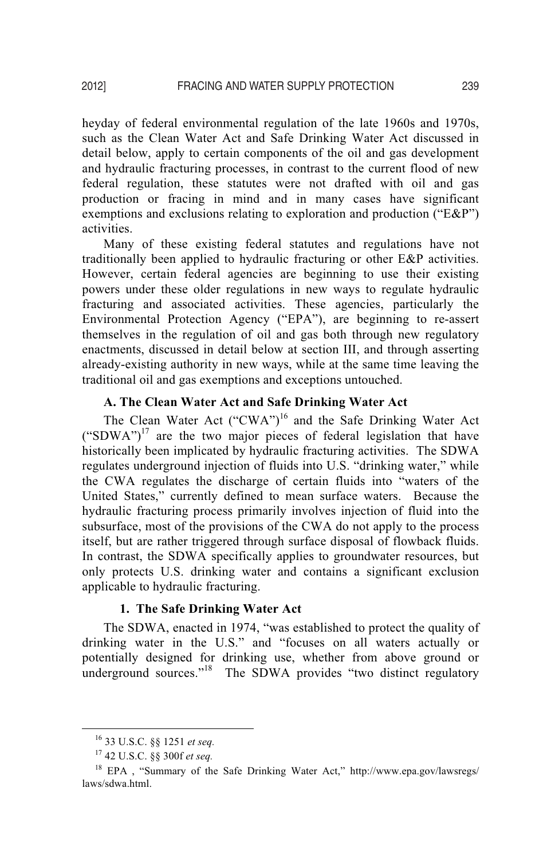heyday of federal environmental regulation of the late 1960s and 1970s, such as the Clean Water Act and Safe Drinking Water Act discussed in detail below, apply to certain components of the oil and gas development and hydraulic fracturing processes, in contrast to the current flood of new federal regulation, these statutes were not drafted with oil and gas production or fracing in mind and in many cases have significant exemptions and exclusions relating to exploration and production ("E&P") activities.

Many of these existing federal statutes and regulations have not traditionally been applied to hydraulic fracturing or other E&P activities. However, certain federal agencies are beginning to use their existing powers under these older regulations in new ways to regulate hydraulic fracturing and associated activities. These agencies, particularly the Environmental Protection Agency ("EPA"), are beginning to re-assert themselves in the regulation of oil and gas both through new regulatory enactments, discussed in detail below at section III, and through asserting already-existing authority in new ways, while at the same time leaving the traditional oil and gas exemptions and exceptions untouched.

#### **A. The Clean Water Act and Safe Drinking Water Act**

The Clean Water Act ("CWA")<sup>16</sup> and the Safe Drinking Water Act  $("SDWA")<sup>17</sup>$  are the two major pieces of federal legislation that have historically been implicated by hydraulic fracturing activities. The SDWA regulates underground injection of fluids into U.S. "drinking water," while the CWA regulates the discharge of certain fluids into "waters of the United States," currently defined to mean surface waters. Because the hydraulic fracturing process primarily involves injection of fluid into the subsurface, most of the provisions of the CWA do not apply to the process itself, but are rather triggered through surface disposal of flowback fluids. In contrast, the SDWA specifically applies to groundwater resources, but only protects U.S. drinking water and contains a significant exclusion applicable to hydraulic fracturing.

#### **1. The Safe Drinking Water Act**

 The SDWA, enacted in 1974, "was established to protect the quality of drinking water in the U.S." and "focuses on all waters actually or potentially designed for drinking use, whether from above ground or underground sources."<sup>18</sup> The SDWA provides "two distinct regulatory

 <sup>16 33</sup> U.S.C. §§ 1251 *et seq.* 

<sup>17 42</sup> U.S.C. §§ 300f *et seq.* 

<sup>&</sup>lt;sup>18</sup> EPA, "Summary of the Safe Drinking Water Act," http://www.epa.gov/lawsregs/ laws/sdwa.html.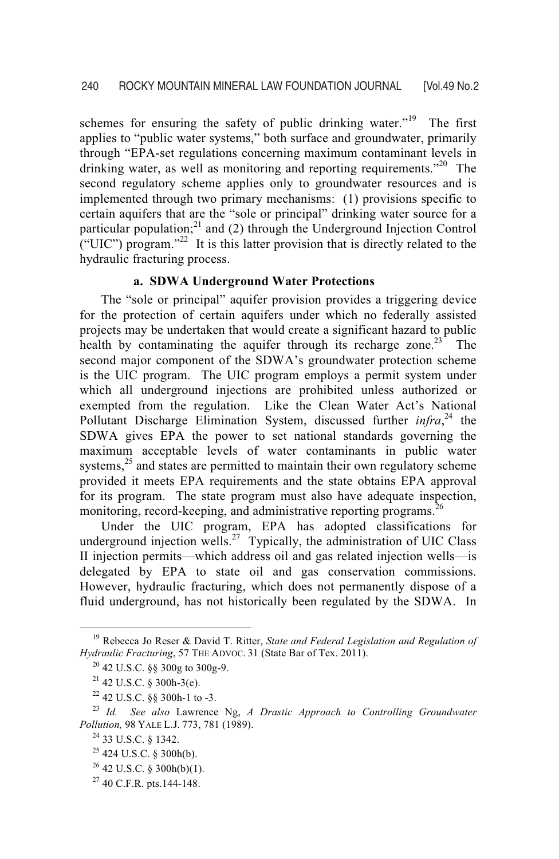schemes for ensuring the safety of public drinking water."<sup>19</sup> The first applies to "public water systems," both surface and groundwater, primarily through "EPA-set regulations concerning maximum contaminant levels in drinking water, as well as monitoring and reporting requirements."<sup>20</sup> The second regulatory scheme applies only to groundwater resources and is implemented through two primary mechanisms: (1) provisions specific to certain aquifers that are the "sole or principal" drinking water source for a particular population;<sup>21</sup> and (2) through the Underground Injection Control ("UIC") program."<sup>22</sup> It is this latter provision that is directly related to the hydraulic fracturing process.

#### **a. SDWA Underground Water Protections**

The "sole or principal" aquifer provision provides a triggering device for the protection of certain aquifers under which no federally assisted projects may be undertaken that would create a significant hazard to public health by contaminating the aquifer through its recharge zone.<sup>23</sup> The second major component of the SDWA's groundwater protection scheme is the UIC program. The UIC program employs a permit system under which all underground injections are prohibited unless authorized or exempted from the regulation. Like the Clean Water Act's National Pollutant Discharge Elimination System, discussed further *infra*,<sup>24</sup> the SDWA gives EPA the power to set national standards governing the maximum acceptable levels of water contaminants in public water systems, $^{25}$  and states are permitted to maintain their own regulatory scheme provided it meets EPA requirements and the state obtains EPA approval for its program. The state program must also have adequate inspection, monitoring, record-keeping, and administrative reporting programs.<sup>26</sup>

Under the UIC program, EPA has adopted classifications for underground injection wells.<sup>27</sup> Typically, the administration of UIC Class II injection permits—which address oil and gas related injection wells—is delegated by EPA to state oil and gas conservation commissions. However, hydraulic fracturing, which does not permanently dispose of a fluid underground, has not historically been regulated by the SDWA. In

 <sup>19</sup> Rebecca Jo Reser & David T. Ritter, *State and Federal Legislation and Regulation of Hydraulic Fracturing*, 57 THE ADVOC. 31 (State Bar of Tex. 2011).<br><sup>20</sup> 42 U.S.C. §§ 300g to 300g-9.

 $21$  42 U.S.C. § 300h-3(e).

<sup>22 42</sup> U.S.C. §§ 300h-1 to -3.

<sup>23</sup> *Id. See also* Lawrence Ng, *A Drastic Approach to Controlling Groundwater Pollution, 98 YALE L.J. 773, 781 (1989).*<br><sup>24</sup> 33 U.S.C. § 1342.

<sup>25 424</sup> U.S.C. § 300h(b).

 $26$  42 U.S.C. § 300h(b)(1).

 $27$  40 C.F.R. pts.144-148.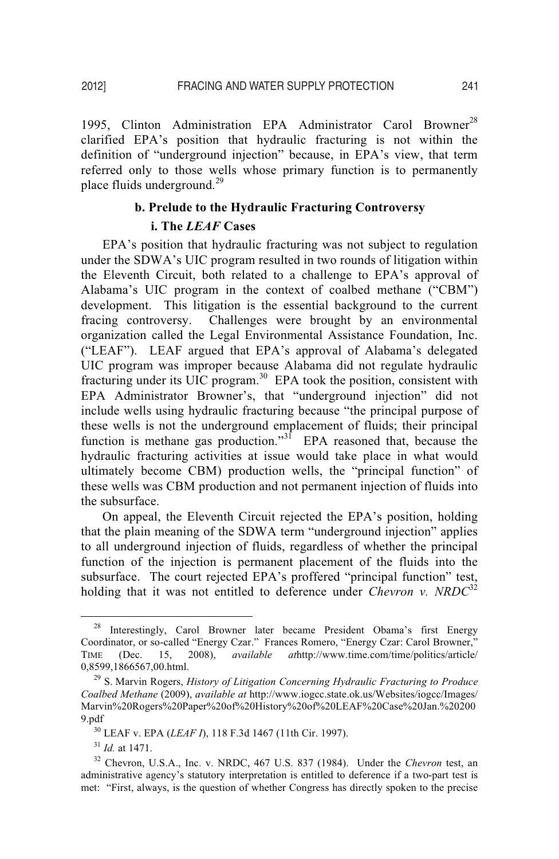1995, Clinton Administration EPA Administrator Carol Browner<sup>28</sup> clarified EPA's position that hydraulic fracturing is not within the definition of "underground injection" because, in EPA's view, that term referred only to those wells whose primary function is to permanently place fluids underground. $^{29}$ 

# **b. Prelude to the Hydraulic Fracturing Controversy**

#### **i. The** *LEAF* **Cases**

EPA's position that hydraulic fracturing was not subject to regulation under the SDWA's UIC program resulted in two rounds of litigation within the Eleventh Circuit, both related to a challenge to EPA's approval of Alabama's UIC program in the context of coalbed methane ("CBM") development. This litigation is the essential background to the current fracing controversy. Challenges were brought by an environmental organization called the Legal Environmental Assistance Foundation, Inc. ("LEAF"). LEAF argued that EPA's approval of Alabama's delegated UIC program was improper because Alabama did not regulate hydraulic fracturing under its UIC program.<sup>30</sup> EPA took the position, consistent with EPA Administrator Browner's, that "underground injection" did not include wells using hydraulic fracturing because "the principal purpose of these wells is not the underground emplacement of fluids; their principal function is methane gas production."<sup>31</sup> EPA reasoned that, because the hydraulic fracturing activities at issue would take place in what would ultimately become CBM) production wells, the "principal function" of these wells was CBM production and not permanent injection of fluids into the subsurface.

On appeal, the Eleventh Circuit rejected the EPA's position, holding that the plain meaning of the SDWA term "underground injection" applies to all underground injection of fluids, regardless of whether the principal function of the injection is permanent placement of the fluids into the subsurface. The court rejected EPA's proffered "principal function" test, holding that it was not entitled to deference under *Chevron v. NRDC*<sup>32</sup>

<sup>&</sup>lt;sup>28</sup> Interestingly, Carol Browner later became President Obama's first Energy Coordinator, or so-called "Energy Czar." Frances Romero, "Energy Czar: Carol Browner," TIME (Dec. 15, 2008), *available at*http://www.time.com/time/politics/article/ 0,8599,1866567,00.html. 29 S. Marvin Rogers, *History of Litigation Concerning Hydraulic Fracturing to Produce* 

*Coalbed Methane* (2009), *available at* http://www.iogcc.state.ok.us/Websites/iogcc/Images/ Marvin%20Rogers%20Paper%20of%20History%20of%20LEAF%20Case%20Jan.%20200 9.pdf<br><sup>30</sup> LEAF v. EPA (*LEAF I*), 118 F.3d 1467 (11th Cir. 1997).<br><sup>31</sup> *Id.* at 1471.<br><sup>32</sup> Chevron, U.S.A., Inc. v. NRDC, 467 U.S. 837 (1984). Under the *Chevron* test, an

administrative agency's statutory interpretation is entitled to deference if a two-part test is met: "First, always, is the question of whether Congress has directly spoken to the precise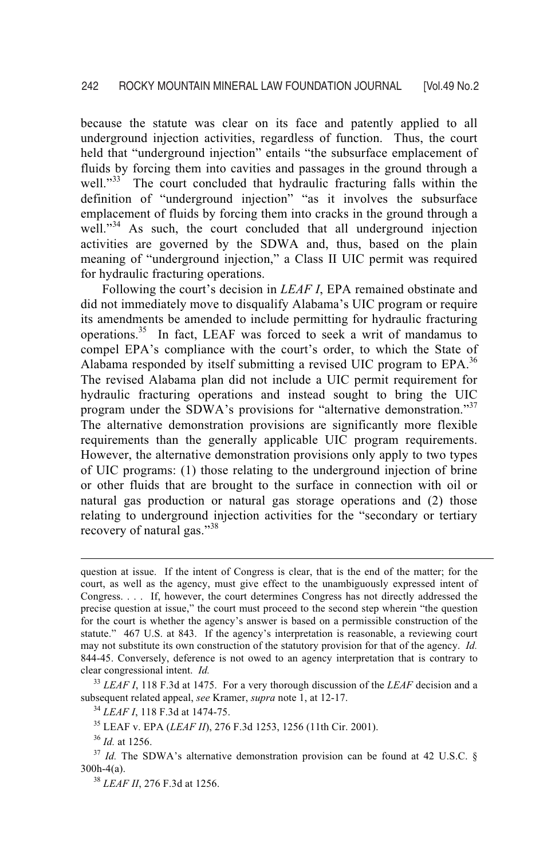because the statute was clear on its face and patently applied to all underground injection activities, regardless of function. Thus, the court held that "underground injection" entails "the subsurface emplacement of fluids by forcing them into cavities and passages in the ground through a well."<sup>33</sup> The court concluded that hydraulic fracturing falls within the definition of "underground injection" "as it involves the subsurface emplacement of fluids by forcing them into cracks in the ground through a well."<sup>34</sup> As such, the court concluded that all underground injection activities are governed by the SDWA and, thus, based on the plain meaning of "underground injection," a Class II UIC permit was required for hydraulic fracturing operations.

Following the court's decision in *LEAF I*, EPA remained obstinate and did not immediately move to disqualify Alabama's UIC program or require its amendments be amended to include permitting for hydraulic fracturing operations.<sup>35</sup> In fact, LEAF was forced to seek a writ of mandamus to compel EPA's compliance with the court's order, to which the State of Alabama responded by itself submitting a revised UIC program to  $EPA$ <sup>36</sup> The revised Alabama plan did not include a UIC permit requirement for hydraulic fracturing operations and instead sought to bring the UIC program under the SDWA's provisions for "alternative demonstration."<sup>37</sup> The alternative demonstration provisions are significantly more flexible requirements than the generally applicable UIC program requirements. However, the alternative demonstration provisions only apply to two types of UIC programs: (1) those relating to the underground injection of brine or other fluids that are brought to the surface in connection with oil or natural gas production or natural gas storage operations and (2) those relating to underground injection activities for the "secondary or tertiary recovery of natural gas."<sup>38</sup>

 $\overline{a}$ 

question at issue. If the intent of Congress is clear, that is the end of the matter; for the court, as well as the agency, must give effect to the unambiguously expressed intent of Congress. . . . If, however, the court determines Congress has not directly addressed the precise question at issue," the court must proceed to the second step wherein "the question for the court is whether the agency's answer is based on a permissible construction of the statute." 467 U.S. at 843. If the agency's interpretation is reasonable, a reviewing court may not substitute its own construction of the statutory provision for that of the agency. *Id.* 844-45. Conversely, deference is not owed to an agency interpretation that is contrary to clear congressional intent. *Id.* 

<sup>&</sup>lt;sup>33</sup> *LEAF I*, 118 F.3d at 1475. For a very thorough discussion of the *LEAF* decision and a subsequent related appeal, *see* Kramer, *supra* note 1, at 12-17.

<sup>&</sup>lt;sup>34</sup> *LEAF I*, 118 F.3d at 1474-75.<br><sup>35</sup> LEAF v. EPA (*LEAF II*), 276 F.3d 1253, 1256 (11th Cir. 2001).<br><sup>36</sup> *Id.* at 1256.<br><sup>37</sup> *Id.* The SDWA's alternative demonstration provision can be found at 42 U.S.C. § 300h-4(a). 38 *LEAF II*, 276 F.3d at 1256.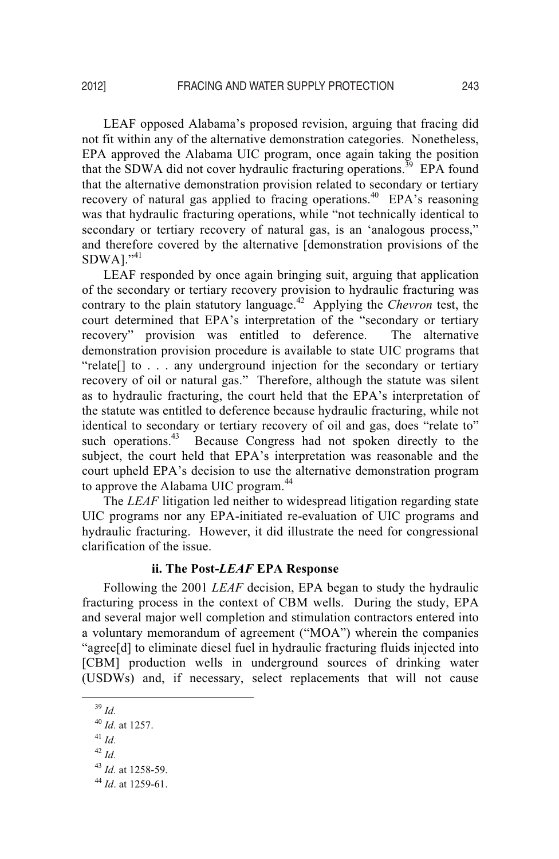LEAF opposed Alabama's proposed revision, arguing that fracing did not fit within any of the alternative demonstration categories. Nonetheless, EPA approved the Alabama UIC program, once again taking the position that the SDWA did not cover hydraulic fracturing operations.<sup>39</sup> EPA found that the alternative demonstration provision related to secondary or tertiary recovery of natural gas applied to fracing operations.<sup>40</sup> EPA's reasoning was that hydraulic fracturing operations, while "not technically identical to secondary or tertiary recovery of natural gas, is an 'analogous process," and therefore covered by the alternative [demonstration provisions of the  $SDWA$ <sup>1</sup>.<sup>\*41</sup>

LEAF responded by once again bringing suit, arguing that application of the secondary or tertiary recovery provision to hydraulic fracturing was contrary to the plain statutory language.42 Applying the *Chevron* test, the court determined that EPA's interpretation of the "secondary or tertiary recovery" provision was entitled to deference. The alternative demonstration provision procedure is available to state UIC programs that "relate[] to . . . any underground injection for the secondary or tertiary recovery of oil or natural gas." Therefore, although the statute was silent as to hydraulic fracturing, the court held that the EPA's interpretation of the statute was entitled to deference because hydraulic fracturing, while not identical to secondary or tertiary recovery of oil and gas, does "relate to" such operations.<sup>43</sup> Because Congress had not spoken directly to the subject, the court held that EPA's interpretation was reasonable and the court upheld EPA's decision to use the alternative demonstration program to approve the Alabama UIC program.<sup>44</sup>

The *LEAF* litigation led neither to widespread litigation regarding state UIC programs nor any EPA-initiated re-evaluation of UIC programs and hydraulic fracturing. However, it did illustrate the need for congressional clarification of the issue.

#### **ii. The Post-***LEAF* **EPA Response**

Following the 2001 *LEAF* decision, EPA began to study the hydraulic fracturing process in the context of CBM wells. During the study, EPA and several major well completion and stimulation contractors entered into a voluntary memorandum of agreement ("MOA") wherein the companies "agree[d] to eliminate diesel fuel in hydraulic fracturing fluids injected into [CBM] production wells in underground sources of drinking water (USDWs) and, if necessary, select replacements that will not cause

 <sup>39</sup> *Id.* 

<sup>40</sup> *Id.* at 1257. 41 *Id.*  $42$  *Id*.

<sup>43</sup> *Id.* at 1258-59. 44 *Id*. at 1259-61.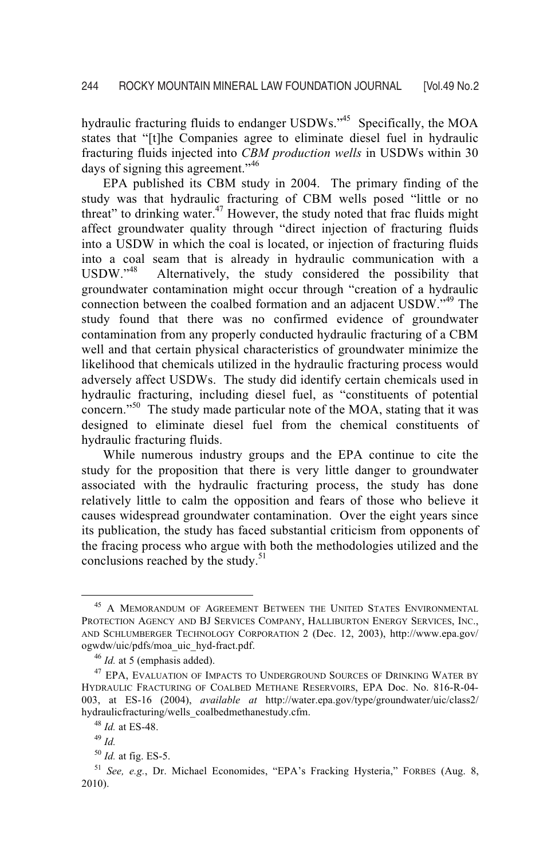hydraulic fracturing fluids to endanger USDWs."<sup>45</sup> Specifically, the MOA states that "[t]he Companies agree to eliminate diesel fuel in hydraulic fracturing fluids injected into *CBM production wells* in USDWs within 30 days of signing this agreement."<sup>46</sup>

EPA published its CBM study in 2004. The primary finding of the study was that hydraulic fracturing of CBM wells posed "little or no threat" to drinking water.<sup>47</sup> However, the study noted that frac fluids might affect groundwater quality through "direct injection of fracturing fluids into a USDW in which the coal is located, or injection of fracturing fluids into a coal seam that is already in hydraulic communication with a USDW."<sup>48</sup> Alternatively, the study considered the possibility that groundwater contamination might occur through "creation of a hydraulic connection between the coalbed formation and an adjacent USDW."49 The study found that there was no confirmed evidence of groundwater contamination from any properly conducted hydraulic fracturing of a CBM well and that certain physical characteristics of groundwater minimize the likelihood that chemicals utilized in the hydraulic fracturing process would adversely affect USDWs. The study did identify certain chemicals used in hydraulic fracturing, including diesel fuel, as "constituents of potential concern."<sup>50</sup> The study made particular note of the MOA, stating that it was designed to eliminate diesel fuel from the chemical constituents of hydraulic fracturing fluids.

While numerous industry groups and the EPA continue to cite the study for the proposition that there is very little danger to groundwater associated with the hydraulic fracturing process, the study has done relatively little to calm the opposition and fears of those who believe it causes widespread groundwater contamination. Over the eight years since its publication, the study has faced substantial criticism from opponents of the fracing process who argue with both the methodologies utilized and the conclusions reached by the study.<sup>51</sup>

 $^{45}$  A MEMORANDUM OF AGREEMENT BETWEEN THE UNITED STATES ENVIRONMENTAL PROTECTION AGENCY AND BJ SERVICES COMPANY, HALLIBURTON ENERGY SERVICES, INC., AND SCHLUMBERGER TECHNOLOGY CORPORATION 2 (Dec. 12, 2003), http://www.epa.gov/ ogwdw/uic/pdfs/moa\_uic\_hyd-fract.pdf.<br><sup>46</sup> *Id.* at 5 (emphasis added).<br><sup>47</sup> EPA, EVALUATION OF IMPACTS TO UNDERGROUND SOURCES OF DRINKING WATER BY

HYDRAULIC FRACTURING OF COALBED METHANE RESERVOIRS, EPA Doc. No. 816-R-04- 003, at ES-16 (2004), *available at* http://water.epa.gov/type/groundwater/uic/class2/ hydraulicfracturing/wells\_coalbedmethanestudy.cfm. 48 *Id.* at ES-48. 49 *Id.* 

<sup>&</sup>lt;sup>50</sup> *Id.* at fig. ES-5. <br><sup>51</sup> *See, e.g.*, Dr. Michael Economides, "EPA's Fracking Hysteria," FORBES (Aug. 8, 2010).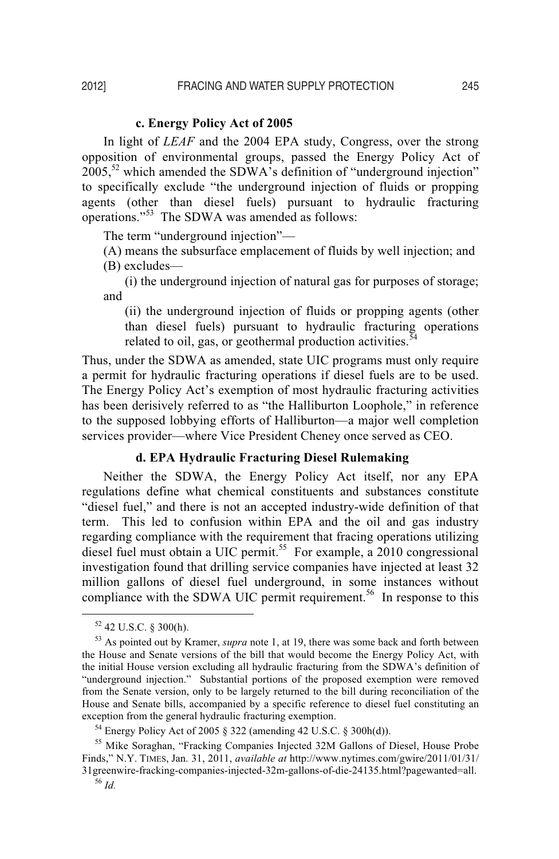#### **c. Energy Policy Act of 2005**

In light of *LEAF* and the 2004 EPA study, Congress, over the strong opposition of environmental groups, passed the Energy Policy Act of  $2005$ <sup>52</sup> which amended the SDWA's definition of "underground injection" to specifically exclude "the underground injection of fluids or propping agents (other than diesel fuels) pursuant to hydraulic fracturing operations."<sup>53</sup> The SDWA was amended as follows:

The term "underground injection"—

(A) means the subsurface emplacement of fluids by well injection; and (B) excludes—

 (i) the underground injection of natural gas for purposes of storage; and

(ii) the underground injection of fluids or propping agents (other than diesel fuels) pursuant to hydraulic fracturing operations related to oil, gas, or geothermal production activities. $54$ 

Thus, under the SDWA as amended, state UIC programs must only require a permit for hydraulic fracturing operations if diesel fuels are to be used. The Energy Policy Act's exemption of most hydraulic fracturing activities has been derisively referred to as "the Halliburton Loophole," in reference to the supposed lobbying efforts of Halliburton—a major well completion services provider—where Vice President Cheney once served as CEO.

#### **d. EPA Hydraulic Fracturing Diesel Rulemaking**

Neither the SDWA, the Energy Policy Act itself, nor any EPA regulations define what chemical constituents and substances constitute "diesel fuel," and there is not an accepted industry-wide definition of that term. This led to confusion within EPA and the oil and gas industry regarding compliance with the requirement that fracing operations utilizing diesel fuel must obtain a UIC permit.<sup>55</sup> For example, a 2010 congressional investigation found that drilling service companies have injected at least 32 million gallons of diesel fuel underground, in some instances without compliance with the SDWA UIC permit requirement.<sup>56</sup> In response to this

 <sup>52 42</sup> U.S.C. § 300(h).

<sup>53</sup> As pointed out by Kramer, *supra* note 1, at 19, there was some back and forth between the House and Senate versions of the bill that would become the Energy Policy Act, with the initial House version excluding all hydraulic fracturing from the SDWA's definition of "underground injection." Substantial portions of the proposed exemption were removed from the Senate version, only to be largely returned to the bill during reconciliation of the House and Senate bills, accompanied by a specific reference to diesel fuel constituting an exception from the general hydraulic fracturing exemption.<br><sup>54</sup> Energy Policy Act of 2005 § 322 (amending 42 U.S.C. § 300h(d)).

<sup>55</sup> Mike Soraghan, "Fracking Companies Injected 32M Gallons of Diesel, House Probe Finds," N.Y. TIMES, Jan. 31, 2011, *available at* http://www.nytimes.com/gwire/2011/01/31/ 31greenwire-fracking-companies-injected-32m-gallons-of-die-24135.html?pagewanted=all. 56 *Id.*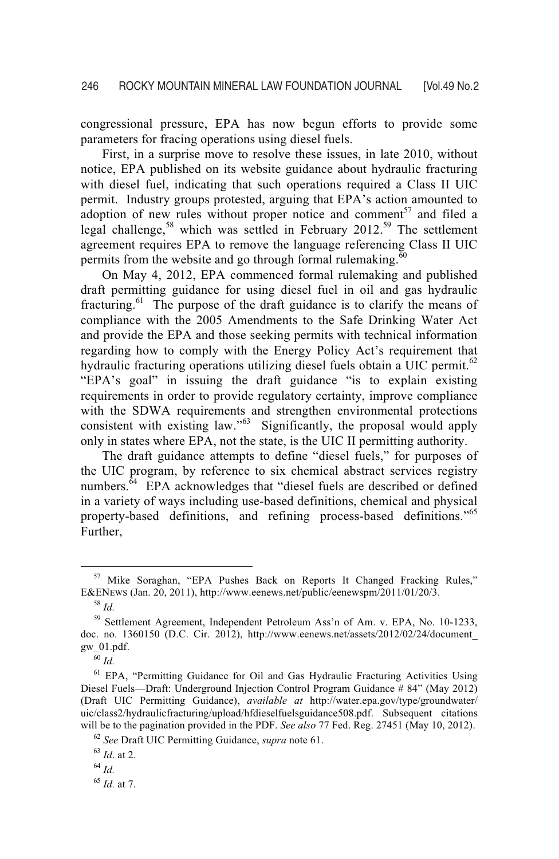congressional pressure, EPA has now begun efforts to provide some parameters for fracing operations using diesel fuels.

First, in a surprise move to resolve these issues, in late 2010, without notice, EPA published on its website guidance about hydraulic fracturing with diesel fuel, indicating that such operations required a Class II UIC permit. Industry groups protested, arguing that EPA's action amounted to adoption of new rules without proper notice and comment<sup>57</sup> and filed a legal challenge,<sup>58</sup> which was settled in February 2012.<sup>59</sup> The settlement agreement requires EPA to remove the language referencing Class II UIC permits from the website and go through formal rulemaking. $60$ 

On May 4, 2012, EPA commenced formal rulemaking and published draft permitting guidance for using diesel fuel in oil and gas hydraulic fracturing.<sup>61</sup> The purpose of the draft guidance is to clarify the means of compliance with the 2005 Amendments to the Safe Drinking Water Act and provide the EPA and those seeking permits with technical information regarding how to comply with the Energy Policy Act's requirement that hydraulic fracturing operations utilizing diesel fuels obtain a UIC permit.<sup>62</sup> "EPA's goal" in issuing the draft guidance "is to explain existing requirements in order to provide regulatory certainty, improve compliance with the SDWA requirements and strengthen environmental protections consistent with existing law." $^{63}$  Significantly, the proposal would apply only in states where EPA, not the state, is the UIC II permitting authority.

The draft guidance attempts to define "diesel fuels," for purposes of the UIC program, by reference to six chemical abstract services registry numbers.<sup> $64$ </sup> EPA acknowledges that "diesel fuels are described or defined in a variety of ways including use-based definitions, chemical and physical property-based definitions, and refining process-based definitions."65 Further,

<sup>&</sup>lt;sup>57</sup> Mike Soraghan, "EPA Pushes Back on Reports It Changed Fracking Rules,"<br>E&ENEWS (Jan. 20, 2011), http://www.eenews.net/public/eenewspm/2011/01/20/3.

<sup>&</sup>lt;sup>58</sup> *Id.* <sup>59</sup> Settlement Agreement, Independent Petroleum Ass'n of Am. v. EPA, No. 10-1233, doc. no. 1360150 (D.C. Cir. 2012), http://www.eenews.net/assets/2012/02/24/document\_ gw\_01.pdf.

<sup>60</sup> *Id.* 

<sup>&</sup>lt;sup>61</sup> EPA. "Permitting Guidance for Oil and Gas Hydraulic Fracturing Activities Using Diesel Fuels—Draft: Underground Injection Control Program Guidance # 84" (May 2012) (Draft UIC Permitting Guidance), *available at* http://water.epa.gov/type/groundwater/ uic/class2/hydraulicfracturing/upload/hfdieselfuelsguidance508.pdf. Subsequent citations will be to the pagination provided in the PDF. *See also* 77 Fed. Reg. 27451 (May 10, 2012).<br><sup>62</sup> *See* Draft UIC Permitting Guidance, *supra* note 61. <sup>63</sup> *Id*. at 2.

<sup>64</sup> *Id.*

<sup>65</sup> *Id.* at 7.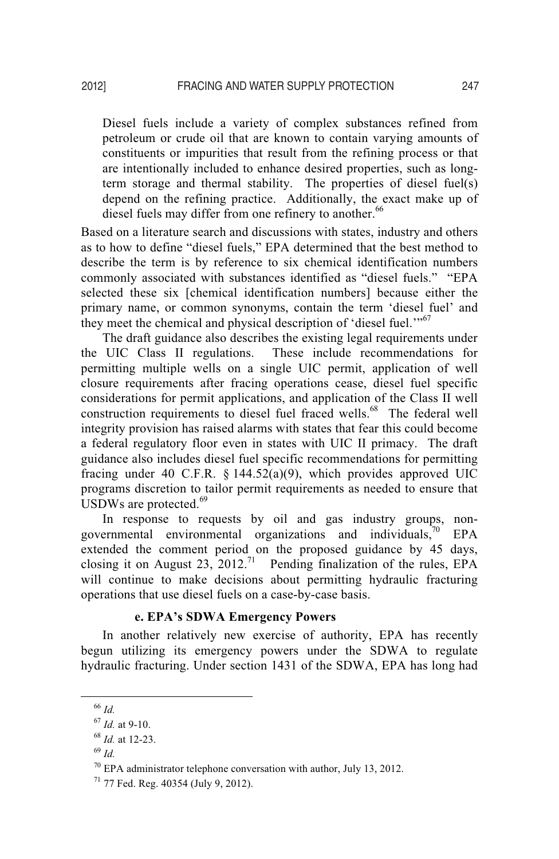Diesel fuels include a variety of complex substances refined from petroleum or crude oil that are known to contain varying amounts of constituents or impurities that result from the refining process or that are intentionally included to enhance desired properties, such as longterm storage and thermal stability. The properties of diesel fuel(s) depend on the refining practice. Additionally, the exact make up of diesel fuels may differ from one refinery to another.<sup>66</sup>

Based on a literature search and discussions with states, industry and others as to how to define "diesel fuels," EPA determined that the best method to describe the term is by reference to six chemical identification numbers commonly associated with substances identified as "diesel fuels." "EPA selected these six [chemical identification numbers] because either the primary name, or common synonyms, contain the term 'diesel fuel' and they meet the chemical and physical description of 'diesel fuel.'"<sup>67</sup>

The draft guidance also describes the existing legal requirements under the UIC Class II regulations. These include recommendations for permitting multiple wells on a single UIC permit, application of well closure requirements after fracing operations cease, diesel fuel specific considerations for permit applications, and application of the Class II well construction requirements to diesel fuel fraced wells.<sup>68</sup> The federal well integrity provision has raised alarms with states that fear this could become a federal regulatory floor even in states with UIC II primacy. The draft guidance also includes diesel fuel specific recommendations for permitting fracing under 40 C.F.R.  $\S$  144.52(a)(9), which provides approved UIC programs discretion to tailor permit requirements as needed to ensure that USDWs are protected. $69$ 

In response to requests by oil and gas industry groups, nongovernmental environmental organizations and individuals,<sup>70</sup> EPA extended the comment period on the proposed guidance by 45 days, closing it on August 23, 2012.<sup>71</sup> Pending finalization of the rules, EPA will continue to make decisions about permitting hydraulic fracturing operations that use diesel fuels on a case-by-case basis.

In another relatively new exercise of authority, EPA has recently begun utilizing its emergency powers under the SDWA to regulate hydraulic fracturing. Under section 1431 of the SDWA, EPA has long had

 <sup>66</sup> *Id.* 

<sup>67</sup> *Id.* at 9-10. 68 *Id.* at 12-23. 69 *Id.* 

 $70$  EPA administrator telephone conversation with author, July 13, 2012.

 $71$  77 Fed. Reg. 40354 (July 9, 2012).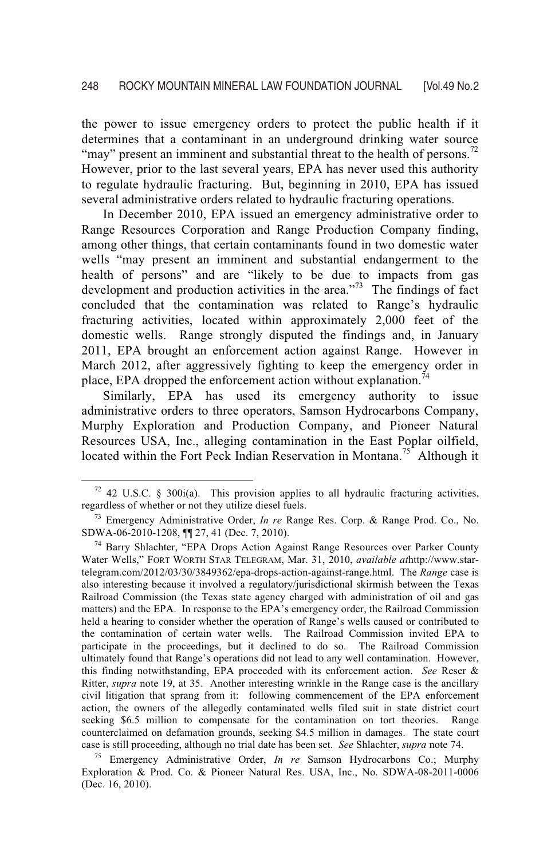the power to issue emergency orders to protect the public health if it determines that a contaminant in an underground drinking water source "may" present an imminent and substantial threat to the health of persons.<sup>72</sup> However, prior to the last several years, EPA has never used this authority to regulate hydraulic fracturing. But, beginning in 2010, EPA has issued several administrative orders related to hydraulic fracturing operations.

In December 2010, EPA issued an emergency administrative order to Range Resources Corporation and Range Production Company finding, among other things, that certain contaminants found in two domestic water wells "may present an imminent and substantial endangerment to the health of persons" and are "likely to be due to impacts from gas development and production activities in the area. $173$  The findings of fact concluded that the contamination was related to Range's hydraulic fracturing activities, located within approximately 2,000 feet of the domestic wells. Range strongly disputed the findings and, in January 2011, EPA brought an enforcement action against Range. However in March 2012, after aggressively fighting to keep the emergency order in place, EPA dropped the enforcement action without explanation.<sup>7</sup>

Similarly, EPA has used its emergency authority to issue administrative orders to three operators, Samson Hydrocarbons Company, Murphy Exploration and Production Company, and Pioneer Natural Resources USA, Inc., alleging contamination in the East Poplar oilfield, located within the Fort Peck Indian Reservation in Montana.<sup>75</sup> Although it

 $72$  42 U.S.C. § 300i(a). This provision applies to all hydraulic fracturing activities,

regardless of whether or not they utilize diesel fuels.<br><sup>73</sup> Emergency Administrative Order, *In re* Range Res. Corp. & Range Prod. Co., No. SDWA-06-2010-1208,  $\P$  27, 41 (Dec. 7, 2010).

 $^{74}$  Barry Shlachter, "EPA Drops Action Against Range Resources over Parker County Water Wells," FORT WORTH STAR TELEGRAM, Mar. 31, 2010, *available at*http://www.startelegram.com/2012/03/30/3849362/epa-drops-action-against-range.html. The *Range* case is also interesting because it involved a regulatory/jurisdictional skirmish between the Texas Railroad Commission (the Texas state agency charged with administration of oil and gas matters) and the EPA. In response to the EPA's emergency order, the Railroad Commission held a hearing to consider whether the operation of Range's wells caused or contributed to the contamination of certain water wells. The Railroad Commission invited EPA to participate in the proceedings, but it declined to do so. The Railroad Commission ultimately found that Range's operations did not lead to any well contamination. However, this finding notwithstanding, EPA proceeded with its enforcement action. *See* Reser & Ritter, *supra* note 19, at 35. Another interesting wrinkle in the Range case is the ancillary civil litigation that sprang from it: following commencement of the EPA enforcement action, the owners of the allegedly contaminated wells filed suit in state district court seeking \$6.5 million to compensate for the contamination on tort theories. Range counterclaimed on defamation grounds, seeking \$4.5 million in damages. The state court case is still proceeding, although no trial date has been set. *See* Shlachter, *supra* note 74. 75 Emergency Administrative Order, *In re* Samson Hydrocarbons Co.; Murphy

Exploration & Prod. Co. & Pioneer Natural Res. USA, Inc., No. SDWA-08-2011-0006 (Dec. 16, 2010).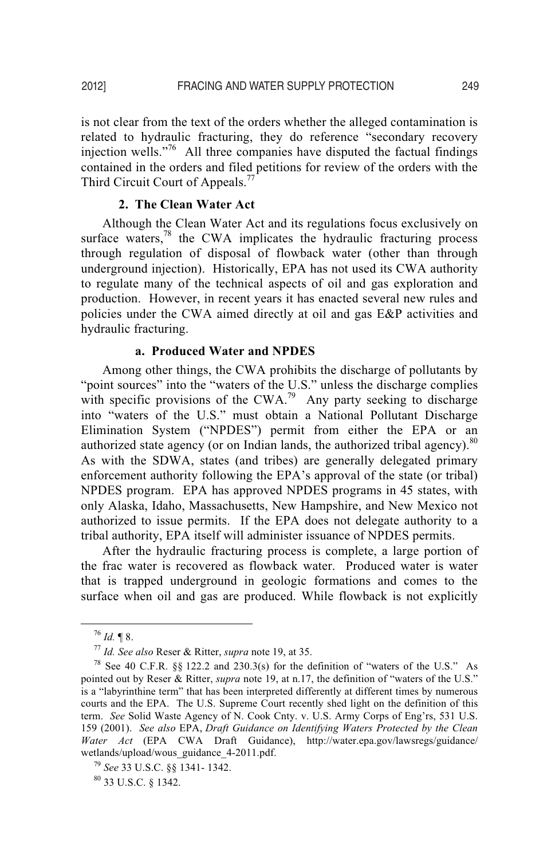is not clear from the text of the orders whether the alleged contamination is related to hydraulic fracturing, they do reference "secondary recovery injection wells."76 All three companies have disputed the factual findings contained in the orders and filed petitions for review of the orders with the Third Circuit Court of Appeals.<sup>77</sup>

# **2. The Clean Water Act**

Although the Clean Water Act and its regulations focus exclusively on surface waters, $78$  the CWA implicates the hydraulic fracturing process through regulation of disposal of flowback water (other than through underground injection). Historically, EPA has not used its CWA authority to regulate many of the technical aspects of oil and gas exploration and production. However, in recent years it has enacted several new rules and policies under the CWA aimed directly at oil and gas E&P activities and hydraulic fracturing.

#### **a. Produced Water and NPDES**

Among other things, the CWA prohibits the discharge of pollutants by "point sources" into the "waters of the U.S." unless the discharge complies with specific provisions of the CWA.<sup>79</sup> Any party seeking to discharge into "waters of the U.S." must obtain a National Pollutant Discharge Elimination System ("NPDES") permit from either the EPA or an authorized state agency (or on Indian lands, the authorized tribal agency).<sup>80</sup> As with the SDWA, states (and tribes) are generally delegated primary enforcement authority following the EPA's approval of the state (or tribal) NPDES program. EPA has approved NPDES programs in 45 states, with only Alaska, Idaho, Massachusetts, New Hampshire, and New Mexico not authorized to issue permits. If the EPA does not delegate authority to a tribal authority, EPA itself will administer issuance of NPDES permits.

After the hydraulic fracturing process is complete, a large portion of the frac water is recovered as flowback water. Produced water is water that is trapped underground in geologic formations and comes to the surface when oil and gas are produced. While flowback is not explicitly

<sup>&</sup>lt;sup>76</sup> *Id.* ¶ 8.<br><sup>77</sup> *Id. See also* Reser & Ritter, *supra* note 19, at 35.<br><sup>78</sup> See 40 C.F.R. §§ 122.2 and 230.3(s) for the definition of "waters of the U.S." As pointed out by Reser & Ritter, *supra* note 19, at n.17, the definition of "waters of the U.S." is a "labyrinthine term" that has been interpreted differently at different times by numerous courts and the EPA. The U.S. Supreme Court recently shed light on the definition of this term. *See* Solid Waste Agency of N. Cook Cnty. v. U.S. Army Corps of Eng'rs, 531 U.S. 159 (2001). *See also* EPA, *Draft Guidance on Identifying Waters Protected by the Clean Water Act* (EPA CWA Draft Guidance), http://water.epa.gov/lawsregs/guidance/ wetlands/upload/wous\_guidance\_4-2011.pdf.<br><sup>79</sup> *See* 33 U.S.C. §§ 1341- 1342.<br><sup>80</sup> 33 U.S.C. § 1342.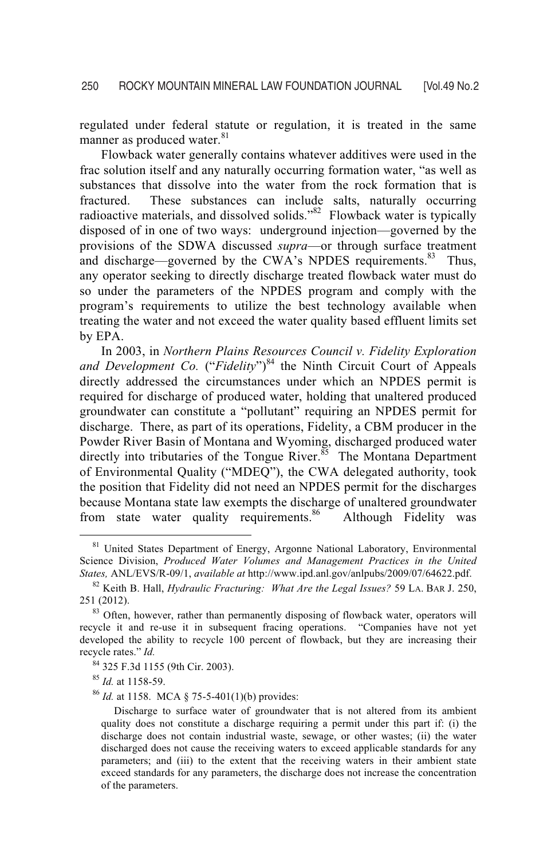regulated under federal statute or regulation, it is treated in the same manner as produced water.<sup>81</sup>

Flowback water generally contains whatever additives were used in the frac solution itself and any naturally occurring formation water, "as well as substances that dissolve into the water from the rock formation that is fractured. These substances can include salts, naturally occurring radioactive materials, and dissolved solids."<sup>82</sup> Flowback water is typically disposed of in one of two ways: underground injection—governed by the provisions of the SDWA discussed *supra*—or through surface treatment and discharge—governed by the CWA's NPDES requirements.<sup>83</sup> Thus, any operator seeking to directly discharge treated flowback water must do so under the parameters of the NPDES program and comply with the program's requirements to utilize the best technology available when treating the water and not exceed the water quality based effluent limits set by EPA.

In 2003, in *Northern Plains Resources Council v. Fidelity Exploration*  and Development Co. ("Fidelity")<sup>84</sup> the Ninth Circuit Court of Appeals directly addressed the circumstances under which an NPDES permit is required for discharge of produced water, holding that unaltered produced groundwater can constitute a "pollutant" requiring an NPDES permit for discharge. There, as part of its operations, Fidelity, a CBM producer in the Powder River Basin of Montana and Wyoming, discharged produced water directly into tributaries of the Tongue River. $85$  The Montana Department of Environmental Quality ("MDEQ"), the CWA delegated authority, took the position that Fidelity did not need an NPDES permit for the discharges because Montana state law exempts the discharge of unaltered groundwater from state water quality requirements.<sup>86</sup> Although Fidelity was

<sup>85</sup> *Id.* at 1158-59.<br><sup>86</sup> *Id.* at 1158. MCA § 75-5-401(1)(b) provides:

<sup>&</sup>lt;sup>81</sup> United States Department of Energy, Argonne National Laboratory, Environmental Science Division, *Produced Water Volumes and Management Practices in the United* 

*States, ANL/EVS/R-09/1, <i>available at http://www.ipd.anl.gov/anlpubs/2009/07/64622.pdf.* <sup>82</sup> Keith B. Hall, *Hydraulic Fracturing: What Are the Legal Issues*? 59 LA. BAR J. 250, 251 (2012).

 $83$  Often, however, rather than permanently disposing of flowback water, operators will recycle it and re-use it in subsequent fracing operations. "Companies have not yet developed the ability to recycle 100 percent of flowback, but they are increasing their recycle rates." *Id.* 

<sup>84 325</sup> F.3d 1155 (9th Cir. 2003).

Discharge to surface water of groundwater that is not altered from its ambient quality does not constitute a discharge requiring a permit under this part if: (i) the discharge does not contain industrial waste, sewage, or other wastes; (ii) the water discharged does not cause the receiving waters to exceed applicable standards for any parameters; and (iii) to the extent that the receiving waters in their ambient state exceed standards for any parameters, the discharge does not increase the concentration of the parameters.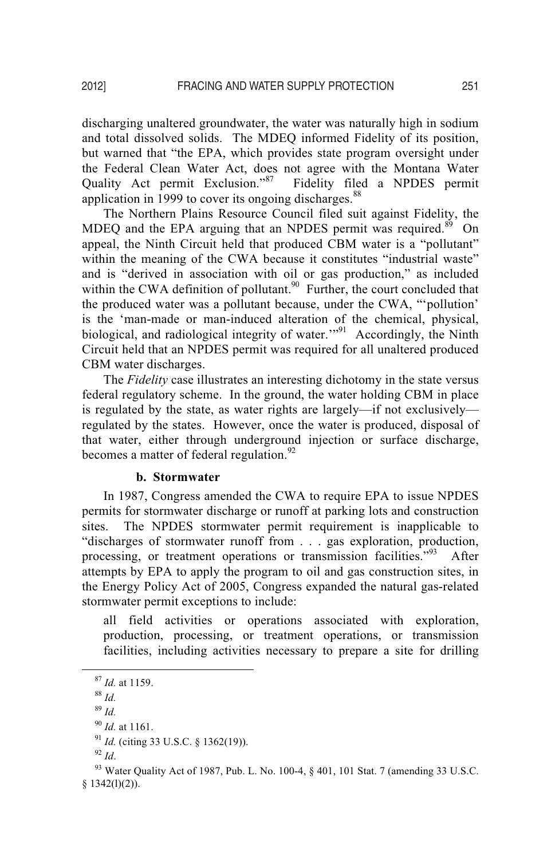discharging unaltered groundwater, the water was naturally high in sodium and total dissolved solids. The MDEQ informed Fidelity of its position, but warned that "the EPA, which provides state program oversight under the Federal Clean Water Act, does not agree with the Montana Water Quality Act permit Exclusion."<sup>87</sup> Fidelity filed a NPDES permit application in 1999 to cover its ongoing discharges.<sup>88</sup>

The Northern Plains Resource Council filed suit against Fidelity, the MDEQ and the EPA arguing that an NPDES permit was required. $89$  On appeal, the Ninth Circuit held that produced CBM water is a "pollutant" within the meaning of the CWA because it constitutes "industrial waste" and is "derived in association with oil or gas production," as included within the CWA definition of pollutant.<sup>90</sup> Further, the court concluded that the produced water was a pollutant because, under the CWA, "'pollution' is the 'man-made or man-induced alteration of the chemical, physical, biological, and radiological integrity of water.<sup>"91</sup> Accordingly, the Ninth Circuit held that an NPDES permit was required for all unaltered produced CBM water discharges.

The *Fidelity* case illustrates an interesting dichotomy in the state versus federal regulatory scheme. In the ground, the water holding CBM in place is regulated by the state, as water rights are largely—if not exclusively regulated by the states. However, once the water is produced, disposal of that water, either through underground injection or surface discharge, becomes a matter of federal regulation. $^{92}$ 

#### **b. Stormwater**

In 1987, Congress amended the CWA to require EPA to issue NPDES permits for stormwater discharge or runoff at parking lots and construction sites. The NPDES stormwater permit requirement is inapplicable to "discharges of stormwater runoff from . . . gas exploration, production, processing, or treatment operations or transmission facilities."<sup>93</sup> After attempts by EPA to apply the program to oil and gas construction sites, in the Energy Policy Act of 2005, Congress expanded the natural gas-related stormwater permit exceptions to include:

all field activities or operations associated with exploration, production, processing, or treatment operations, or transmission facilities, including activities necessary to prepare a site for drilling

<sup>87</sup> *Id.* at 1159. 88 *Id.* 

<sup>89</sup> *Id.* 

<sup>90</sup> *Id.* at 1161.<br><sup>91</sup> *Id.* (citing 33 U.S.C. § 1362(19)).<br><sup>92</sup> *Id.* 93 Water Quality Act of 1987, Pub. L. No. 100-4, § 401, 101 Stat. 7 (amending 33 U.S.C.  $$1342(1)(2)$ ).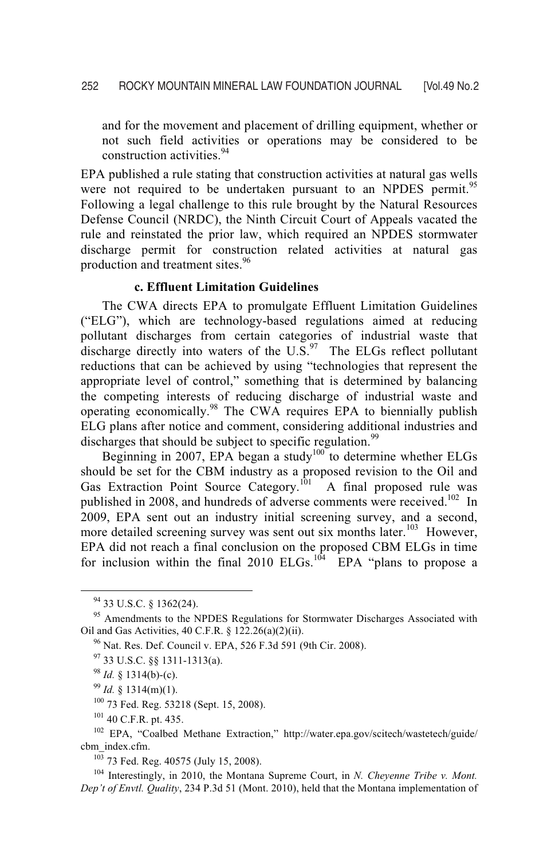and for the movement and placement of drilling equipment, whether or not such field activities or operations may be considered to be construction activities.<sup>94</sup>

EPA published a rule stating that construction activities at natural gas wells were not required to be undertaken pursuant to an NPDES permit.<sup>95</sup> Following a legal challenge to this rule brought by the Natural Resources Defense Council (NRDC), the Ninth Circuit Court of Appeals vacated the rule and reinstated the prior law, which required an NPDES stormwater discharge permit for construction related activities at natural gas production and treatment sites.<sup>96</sup>

# **c. Effluent Limitation Guidelines**

 The CWA directs EPA to promulgate Effluent Limitation Guidelines ("ELG"), which are technology-based regulations aimed at reducing pollutant discharges from certain categories of industrial waste that discharge directly into waters of the  $U.S.<sup>97</sup>$  The ELGs reflect pollutant reductions that can be achieved by using "technologies that represent the appropriate level of control," something that is determined by balancing the competing interests of reducing discharge of industrial waste and operating economically.98 The CWA requires EPA to biennially publish ELG plans after notice and comment, considering additional industries and discharges that should be subject to specific regulation.<sup>99</sup>

Beginning in 2007, EPA began a study<sup>100</sup> to determine whether ELGs should be set for the CBM industry as a proposed revision to the Oil and Gas Extraction Point Source Category.<sup>101</sup> A final proposed rule was published in 2008, and hundreds of adverse comments were received.<sup>102</sup> In 2009, EPA sent out an industry initial screening survey, and a second, more detailed screening survey was sent out six months later.<sup>103</sup> However, EPA did not reach a final conclusion on the proposed CBM ELGs in time for inclusion within the final 2010 ELGs.<sup>104</sup> EPA "plans to propose a

*Dep't of Envtl. Quality*, 234 P.3d 51 (Mont. 2010), held that the Montana implementation of

 <sup>94 33</sup> U.S.C. § 1362(24).

<sup>&</sup>lt;sup>95</sup> Amendments to the NPDES Regulations for Stormwater Discharges Associated with Oil and Gas Activities, 40 C.F.R. § 122.26(a)(2)(ii).<br><sup>96</sup> Nat. Res. Def. Council v. EPA, 526 F.3d 591 (9th Cir. 2008).<br><sup>97</sup> 33 U.S.C. §§ 1311-1313(a).

<sup>98</sup> *Id.* § 1314(b)-(c).<br><sup>99</sup> *Id.* § 1314(m)(1).<br><sup>100</sup> 73 Fed. Reg. 53218 (Sept. 15, 2008).<br><sup>101</sup> 40 C.F.R. pt. 435.<br><sup>102</sup> EPA, "Coalbed Methane Extraction," http://water.epa.gov/scitech/wastetech/guide/ cbm\_index.cfm.<br><sup>103</sup> 73 Fed. Reg. 40575 (July 15, 2008).<br><sup>104</sup> Interestingly, in 2010, the Montana Supreme Court, in *N. Cheyenne Tribe v. Mont.*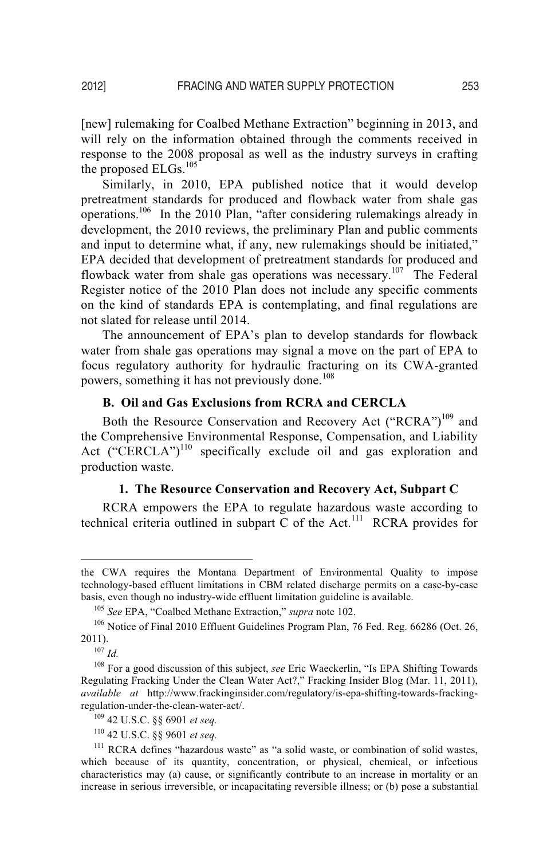[new] rulemaking for Coalbed Methane Extraction" beginning in 2013, and will rely on the information obtained through the comments received in response to the 2008 proposal as well as the industry surveys in crafting the proposed ELGs.<sup>105</sup>

Similarly, in 2010, EPA published notice that it would develop pretreatment standards for produced and flowback water from shale gas operations.<sup>106</sup> In the 2010 Plan, "after considering rulemakings already in development, the 2010 reviews, the preliminary Plan and public comments and input to determine what, if any, new rulemakings should be initiated," EPA decided that development of pretreatment standards for produced and flowback water from shale gas operations was necessary.<sup>107</sup> The Federal Register notice of the 2010 Plan does not include any specific comments on the kind of standards EPA is contemplating, and final regulations are not slated for release until 2014.

The announcement of EPA's plan to develop standards for flowback water from shale gas operations may signal a move on the part of EPA to focus regulatory authority for hydraulic fracturing on its CWA-granted powers, something it has not previously done.<sup>108</sup>

# **B. Oil and Gas Exclusions from RCRA and CERCLA**

Both the Resource Conservation and Recovery Act ("RCRA")<sup>109</sup> and the Comprehensive Environmental Response, Compensation, and Liability Act ("CERCLA")<sup>110</sup> specifically exclude oil and gas exploration and production waste.

#### **1. The Resource Conservation and Recovery Act, Subpart C**

RCRA empowers the EPA to regulate hazardous waste according to technical criteria outlined in subpart  $\overline{C}$  of the Act.<sup>111</sup> RCRA provides for

 $\overline{a}$ 

the CWA requires the Montana Department of En*v*ironmental Quality to impose technology-based effluent limitations in CBM related discharge permits on a case-by-case basis, even though no industry-wide effluent limitation guideline is available.

<sup>&</sup>lt;sup>105</sup> See EPA, "Coalbed Methane Extraction," *supra* note 102.<br><sup>106</sup> Notice of Final 2010 Effluent Guidelines Program Plan, 76 Fed. Reg. 66286 (Oct. 26, 2011).<br> $107$  *Id.* 

<sup>108</sup> For a good discussion of this subject, *see* Eric Waeckerlin, "Is EPA Shifting Towards Regulating Fracking Under the Clean Water Act?," Fracking Insider Blog (Mar. 11, 2011), *available at* http://www.frackinginsider.com/regulatory/is-epa-shifting-towards-fracking-

<sup>&</sup>lt;sup>109</sup> 42 U.S.C. §§ 6901 *et seq.* 

<sup>110 42</sup> U.S.C. §§ 9601 *et seq.*

<sup>&</sup>lt;sup>111</sup> RCRA defines "hazardous waste" as "a solid waste, or combination of solid wastes, which because of its quantity, concentration, or physical, chemical, or infectious characteristics may (a) cause, or significantly contribute to an increase in mortality or an increase in serious irreversible, or incapacitating reversible illness; or (b) pose a substantial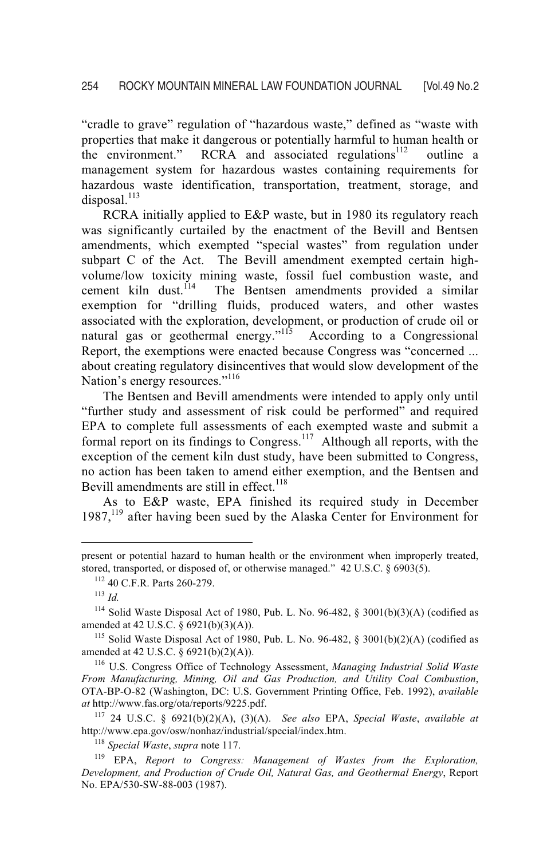"cradle to grave" regulation of "hazardous waste," defined as "waste with properties that make it dangerous or potentially harmful to human health or the environment." RCRA and associated regulations<sup>112</sup> outline a management system for hazardous wastes containing requirements for hazardous waste identification, transportation, treatment, storage, and disposal. $^{113}$ 

RCRA initially applied to E&P waste, but in 1980 its regulatory reach was significantly curtailed by the enactment of the Bevill and Bentsen amendments, which exempted "special wastes" from regulation under subpart C of the Act. The Bevill amendment exempted certain highvolume/low toxicity mining waste, fossil fuel combustion waste, and cement kiln dust.<sup> $114$ </sup> The Bentsen amendments provided a similar exemption for "drilling fluids, produced waters, and other wastes associated with the exploration, development, or production of crude oil or natural gas or geothermal energy."<sup>115</sup> According to a Congressional Report, the exemptions were enacted because Congress was "concerned ... about creating regulatory disincentives that would slow development of the Nation's energy resources."<sup>116</sup>

The Bentsen and Bevill amendments were intended to apply only until "further study and assessment of risk could be performed" and required EPA to complete full assessments of each exempted waste and submit a formal report on its findings to Congress.<sup>117</sup> Although all reports, with the exception of the cement kiln dust study, have been submitted to Congress, no action has been taken to amend either exemption, and the Bentsen and Bevill amendments are still in effect.<sup>118</sup>

As to E&P waste, EPA finished its required study in December 1987,<sup>119</sup> after having been sued by the Alaska Center for Environment for

 $\overline{a}$ 

present or potential hazard to human health or the environment when improperly treated, stored, transported, or disposed of, or otherwise managed." 42 U.S.C. § 6903(5).<br><sup>112</sup> 40 C.F.R. Parts 260-279.<br><sup>113</sup> *Id* 

<sup>&</sup>lt;sup>114</sup> Solid Waste Disposal Act of 1980, Pub. L. No. 96-482,  $\S$  3001(b)(3)(A) (codified as amended at 42 U.S.C. § 6921(b)(3)(A)).

<sup>&</sup>lt;sup>115</sup> Solid Waste Disposal Act of 1980, Pub. L. No. 96-482, § 3001(b)(2)(A) (codified as amended at 42 U.S.C. § 6921(b)(2)(A)).

<sup>&</sup>lt;sup>116</sup> U.S. Congress Office of Technology Assessment, *Managing Industrial Solid Waste From Manufacturing, Mining, Oil and Gas Production, and Utility Coal Combustion*, OTA-BP-O-82 (Washington, DC: U.S. Government Printing Office, Feb. 1992), *available at* http://www.fas.org/ota/reports/9225.pdf.

<sup>117 24</sup> U.S.C. § 6921(b)(2)(A), (3)(A). *See also* EPA, *Special Waste*, *available at* http://www.epa.gov/osw/nonhaz/industrial/special/index.htm.<br><sup>118</sup> *Special Waste*, *supra* note 117.<br><sup>119</sup> EPA, *Report to Congress: Management of Wastes from the Exploration,* 

*Development, and Production of Crude Oil, Natural Gas, and Geothermal Energy*, Report No. EPA/530-SW-88-003 (1987).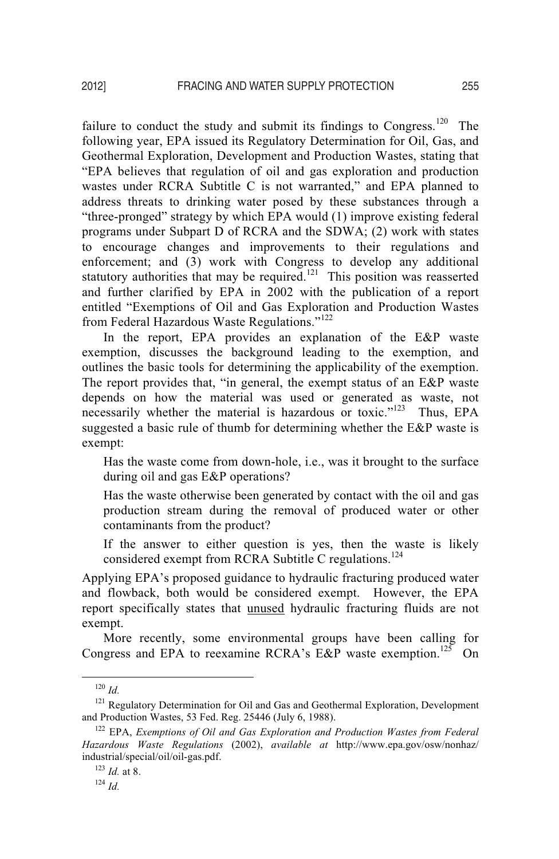failure to conduct the study and submit its findings to Congress.<sup>120</sup> The following year, EPA issued its Regulatory Determination for Oil, Gas, and Geothermal Exploration, Development and Production Wastes, stating that "EPA believes that regulation of oil and gas exploration and production wastes under RCRA Subtitle C is not warranted," and EPA planned to address threats to drinking water posed by these substances through a "three-pronged" strategy by which EPA would (1) improve existing federal programs under Subpart D of RCRA and the SDWA; (2) work with states to encourage changes and improvements to their regulations and enforcement; and (3) work with Congress to develop any additional statutory authorities that may be required.<sup>121</sup> This position was reasserted and further clarified by EPA in 2002 with the publication of a report entitled "Exemptions of Oil and Gas Exploration and Production Wastes from Federal Hazardous Waste Regulations."122

In the report, EPA provides an explanation of the E&P waste exemption, discusses the background leading to the exemption, and outlines the basic tools for determining the applicability of the exemption. The report provides that, "in general, the exempt status of an E&P waste depends on how the material was used or generated as waste, not necessarily whether the material is hazardous or toxic."<sup>123</sup> Thus, EPA suggested a basic rule of thumb for determining whether the E&P waste is exempt:

Has the waste come from down-hole, i.e., was it brought to the surface during oil and gas E&P operations?

Has the waste otherwise been generated by contact with the oil and gas production stream during the removal of produced water or other contaminants from the product?

If the answer to either question is yes, then the waste is likely considered exempt from RCRA Subtitle C regulations.<sup>124</sup>

Applying EPA's proposed guidance to hydraulic fracturing produced water and flowback, both would be considered exempt. However, the EPA report specifically states that unused hydraulic fracturing fluids are not exempt.

More recently, some environmental groups have been calling for Congress and EPA to reexamine RCRA's E&P waste exemption.<sup>125</sup> On

 $120$  *Id.* 

<sup>&</sup>lt;sup>121</sup> Regulatory Determination for Oil and Gas and Geothermal Exploration, Development and Production Wastes, 53 Fed. Reg. 25446 (July 6, 1988).

<sup>&</sup>lt;sup>122</sup> EPA, *Exemptions of Oil and Gas Exploration and Production Wastes from Federal Hazardous Waste Regulations* (2002), *available at* http://www.epa.gov/osw/nonhaz/ industrial/special/oil/oil-gas.pdf.

<sup>123</sup> *Id.* at 8. 124 *Id.*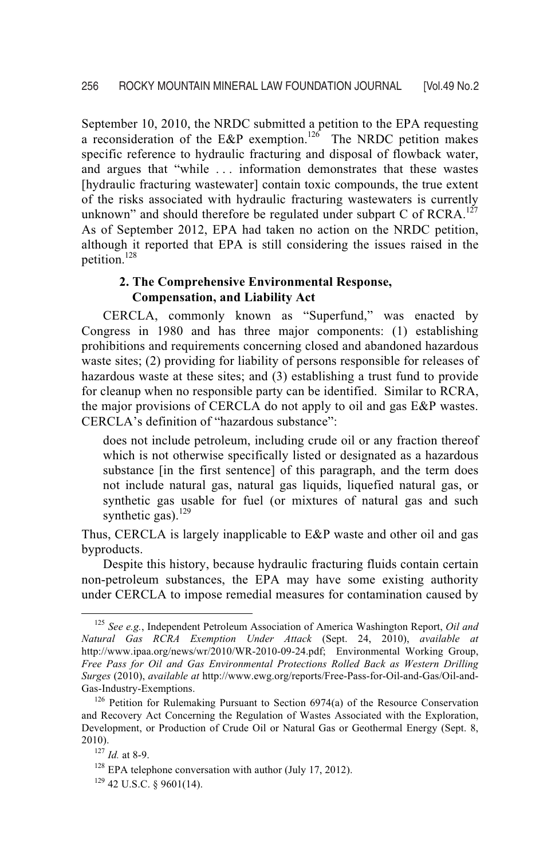September 10, 2010, the NRDC submitted a petition to the EPA requesting a reconsideration of the E&P exemption.<sup>126</sup> The NRDC petition makes specific reference to hydraulic fracturing and disposal of flowback water, and argues that "while . . . information demonstrates that these wastes [hydraulic fracturing wastewater] contain toxic compounds, the true extent of the risks associated with hydraulic fracturing wastewaters is currently unknown" and should therefore be regulated under subpart C of RCRA.<sup>127</sup> As of September 2012, EPA had taken no action on the NRDC petition, although it reported that EPA is still considering the issues raised in the petition.128

# **2. The Comprehensive Environmental Response, Compensation, and Liability Act**

CERCLA, commonly known as "Superfund," was enacted by Congress in 1980 and has three major components: (1) establishing prohibitions and requirements concerning closed and abandoned hazardous waste sites; (2) providing for liability of persons responsible for releases of hazardous waste at these sites; and (3) establishing a trust fund to provide for cleanup when no responsible party can be identified. Similar to RCRA, the major provisions of CERCLA do not apply to oil and gas E&P wastes. CERCLA's definition of "hazardous substance":

does not include petroleum, including crude oil or any fraction thereof which is not otherwise specifically listed or designated as a hazardous substance [in the first sentence] of this paragraph, and the term does not include natural gas, natural gas liquids, liquefied natural gas, or synthetic gas usable for fuel (or mixtures of natural gas and such synthetic gas). $^{129}$ 

Thus, CERCLA is largely inapplicable to E&P waste and other oil and gas byproducts.

Despite this history, because hydraulic fracturing fluids contain certain non-petroleum substances, the EPA may have some existing authority under CERCLA to impose remedial measures for contamination caused by

 <sup>125</sup> *See e.g.*, Independent Petroleum Association of America Washington Report, *Oil and Natural Gas RCRA Exemption Under Attack* (Sept. 24, 2010), *available at* http://www.ipaa.org/news/wr/2010/WR-2010-09-24.pdf; Environmental Working Group, *Free Pass for Oil and Gas Environmental Protections Rolled Back as Western Drilling Surges* (2010), *available at* http://www.ewg.org/reports/Free-Pass-for-Oil-and-Gas/Oil-and-

 $126$  Petition for Rulemaking Pursuant to Section 6974(a) of the Resource Conservation and Recovery Act Concerning the Regulation of Wastes Associated with the Exploration, Development, or Production of Crude Oil or Natural Gas or Geothermal Energy (Sept. 8,

<sup>&</sup>lt;sup>127</sup> *Id.* at 8-9. <sup>128</sup> EPA telephone conversation with author (July 17, 2012). <sup>129</sup> 42 U.S.C. § 9601(14).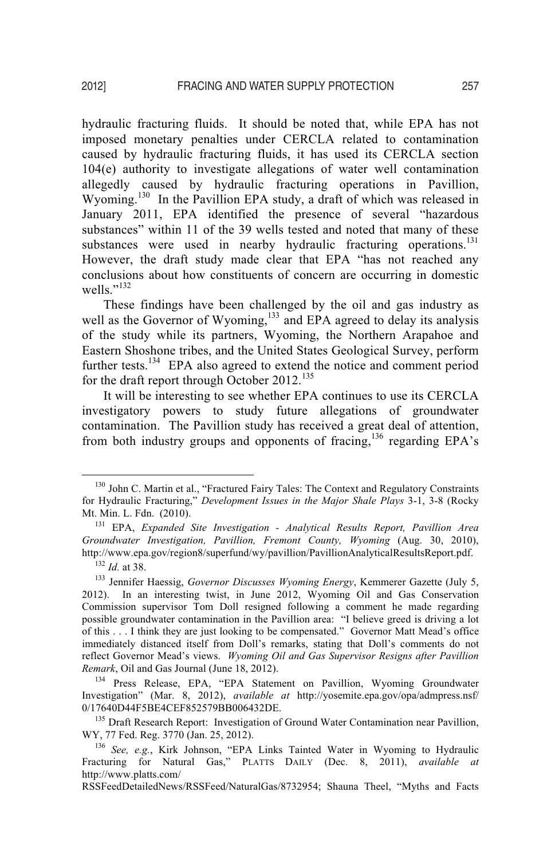hydraulic fracturing fluids. It should be noted that, while EPA has not imposed monetary penalties under CERCLA related to contamination caused by hydraulic fracturing fluids, it has used its CERCLA section 104(e) authority to investigate allegations of water well contamination allegedly caused by hydraulic fracturing operations in Pavillion, Wyoming.<sup>130</sup> In the Pavillion EPA study, a draft of which was released in January 2011, EPA identified the presence of several "hazardous substances" within 11 of the 39 wells tested and noted that many of these substances were used in nearby hydraulic fracturing operations.<sup>131</sup> However, the draft study made clear that EPA "has not reached any conclusions about how constituents of concern are occurring in domestic wells." $^{132}$ 

These findings have been challenged by the oil and gas industry as well as the Governor of Wyoming,<sup>133</sup> and EPA agreed to delay its analysis of the study while its partners, Wyoming, the Northern Arapahoe and Eastern Shoshone tribes, and the United States Geological Survey, perform further tests.<sup>134</sup> EPA also agreed to extend the notice and comment period for the draft report through October 2012.<sup>135</sup>

It will be interesting to see whether EPA continues to use its CERCLA investigatory powers to study future allegations of groundwater contamination. The Pavillion study has received a great deal of attention, from both industry groups and opponents of fracing, $136$  regarding EPA's

RSSFeedDetailedNews/RSSFeed/NaturalGas/8732954; Shauna Theel, "Myths and Facts

<sup>&</sup>lt;sup>130</sup> John C. Martin et al., "Fractured Fairy Tales: The Context and Regulatory Constraints for Hydraulic Fracturing," *Development Issues in the Major Shale Plays* 3-1, 3-8 (Rocky Mt. Min. L. Fdn. (2010). 131 EPA, *Expanded Site Investigation - Analytical Results Report, Pavillion Area* 

*Groundwater Investigation, Pavillion, Fremont County, Wyoming* (Aug. 30, 2010),

<sup>&</sup>lt;sup>132</sup> Id. at 38.<br><sup>133</sup> Jennifer Haessig, *Governor Discusses Wyoming Energy*, Kemmerer Gazette (July 5, 2012). In an interesting twist, in June 2012, Wyoming Oil and Gas Conservation Commission supervisor Tom Doll resigned following a comment he made regarding possible groundwater contamination in the Pavillion area: "I believe greed is driving a lot of this . . . I think they are just looking to be compensated." Governor Matt Mead's office immediately distanced itself from Doll's remarks, stating that Doll's comments do not reflect Governor Mead's views. *Wyoming Oil and Gas Supervisor Resigns after Pavillion Remark*, Oil and Gas Journal (June 18, 2012).<br><sup>134</sup> Press Release, EPA, "EPA Statement on Pavillion, Wyoming Groundwater

Investigation" (Mar. 8, 2012), *available at* http://yosemite.epa.gov/opa/admpress.nsf/

<sup>&</sup>lt;sup>135</sup> Draft Research Report: Investigation of Ground Water Contamination near Pavillion, WY, 77 Fed. Reg. 3770 (Jan. 25, 2012).

WY, 77 Fed. Reg. 3770 (Jan. 25, 2012).<br><sup>136</sup> *See, e.g.*, Kirk Johnson, "EPA Links Tainted Water in Wyoming to Hydraulic Fracturing for Natural Gas," PLATTS DAILY (Dec. 8, 2011), *available at* http://www.platts.com/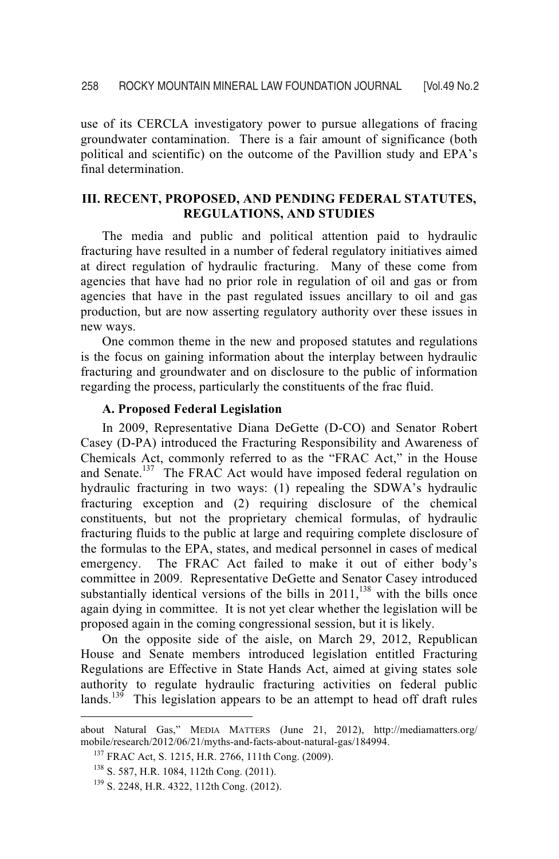use of its CERCLA investigatory power to pursue allegations of fracing groundwater contamination. There is a fair amount of significance (both political and scientific) on the outcome of the Pavillion study and EPA's final determination.

# **III. RECENT, PROPOSED, AND PENDING FEDERAL STATUTES, REGULATIONS, AND STUDIES**

 The media and public and political attention paid to hydraulic fracturing have resulted in a number of federal regulatory initiatives aimed at direct regulation of hydraulic fracturing. Many of these come from agencies that have had no prior role in regulation of oil and gas or from agencies that have in the past regulated issues ancillary to oil and gas production, but are now asserting regulatory authority over these issues in new ways.

 One common theme in the new and proposed statutes and regulations is the focus on gaining information about the interplay between hydraulic fracturing and groundwater and on disclosure to the public of information regarding the process, particularly the constituents of the frac fluid.

#### **A. Proposed Federal Legislation**

In 2009, Representative Diana DeGette (D-CO) and Senator Robert Casey (D-PA) introduced the Fracturing Responsibility and Awareness of Chemicals Act, commonly referred to as the "FRAC Act," in the House and Senate.<sup>137</sup> The FRAC Act would have imposed federal regulation on hydraulic fracturing in two ways: (1) repealing the SDWA's hydraulic fracturing exception and (2) requiring disclosure of the chemical constituents, but not the proprietary chemical formulas, of hydraulic fracturing fluids to the public at large and requiring complete disclosure of the formulas to the EPA, states, and medical personnel in cases of medical emergency. The FRAC Act failed to make it out of either body's committee in 2009. Representative DeGette and Senator Casey introduced substantially identical versions of the bills in  $2011$ ,<sup>138</sup> with the bills once again dying in committee. It is not yet clear whether the legislation will be proposed again in the coming congressional session, but it is likely.

On the opposite side of the aisle, on March 29, 2012, Republican House and Senate members introduced legislation entitled Fracturing Regulations are Effective in State Hands Act, aimed at giving states sole authority to regulate hydraulic fracturing activities on federal public lands.<sup>139</sup> This legislation appears to be an attempt to head off draft rules

 $\overline{a}$ 

about Natural Gas," MEDIA MATTERS (June 21, 2012), http://mediamatters.org/ mobile/research/2012/06/21/myths-and-facts-about-natural-gas/184994.<br><sup>137</sup> FRAC Act, S. 1215, H.R. 2766, 111th Cong. (2009).<br><sup>138</sup> S. 587, H.R. 1084, 112th Cong. (2011).<br><sup>139</sup> S. 2248, H.R. 4322, 112th Cong. (2012).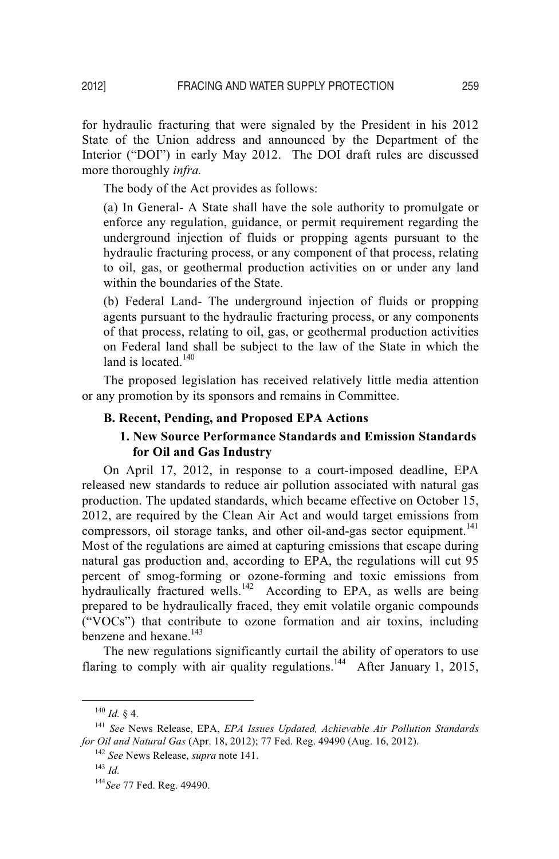for hydraulic fracturing that were signaled by the President in his 2012 State of the Union address and announced by the Department of the Interior ("DOI") in early May 2012. The DOI draft rules are discussed more thoroughly *infra.* 

The body of the Act provides as follows:

(a) In General- A State shall have the sole authority to promulgate or enforce any regulation, guidance, or permit requirement regarding the underground injection of fluids or propping agents pursuant to the hydraulic fracturing process, or any component of that process, relating to oil, gas, or geothermal production activities on or under any land within the boundaries of the State.

(b) Federal Land- The underground injection of fluids or propping agents pursuant to the hydraulic fracturing process, or any components of that process, relating to oil, gas, or geothermal production activities on Federal land shall be subject to the law of the State in which the land is located.<sup>140</sup>

The proposed legislation has received relatively little media attention or any promotion by its sponsors and remains in Committee.

#### **B. Recent, Pending, and Proposed EPA Actions**

# **1. New Source Performance Standards and Emission Standards for Oil and Gas Industry**

On April 17, 2012, in response to a court-imposed deadline, EPA released new standards to reduce air pollution associated with natural gas production. The updated standards, which became effective on October 15, 2012, are required by the Clean Air Act and would target emissions from compressors, oil storage tanks, and other oil-and-gas sector equipment.<sup>141</sup> Most of the regulations are aimed at capturing emissions that escape during natural gas production and, according to EPA, the regulations will cut 95 percent of smog-forming or ozone-forming and toxic emissions from hydraulically fractured wells.<sup>142</sup> According to EPA, as wells are being prepared to be hydraulically fraced, they emit volatile organic compounds ("VOCs") that contribute to ozone formation and air toxins, including benzene and hexane.<sup>143</sup>

The new regulations significantly curtail the ability of operators to use flaring to comply with air quality regulations.<sup>144</sup> After January 1, 2015,

<sup>&</sup>lt;sup>140</sup> *Id.* § 4.<br><sup>141</sup> *See* News Release, EPA, *EPA Issues Updated, Achievable Air Pollution Standards for Oil and Natural Gas* (Apr. 18, 2012); 77 Fed. Reg. 49490 (Aug. 16, 2012).<br><sup>142</sup> *See* News Release, *supra* note 141.<br><sup>143</sup> *Id* 

<sup>144</sup>*See* 77 Fed. Reg. 49490.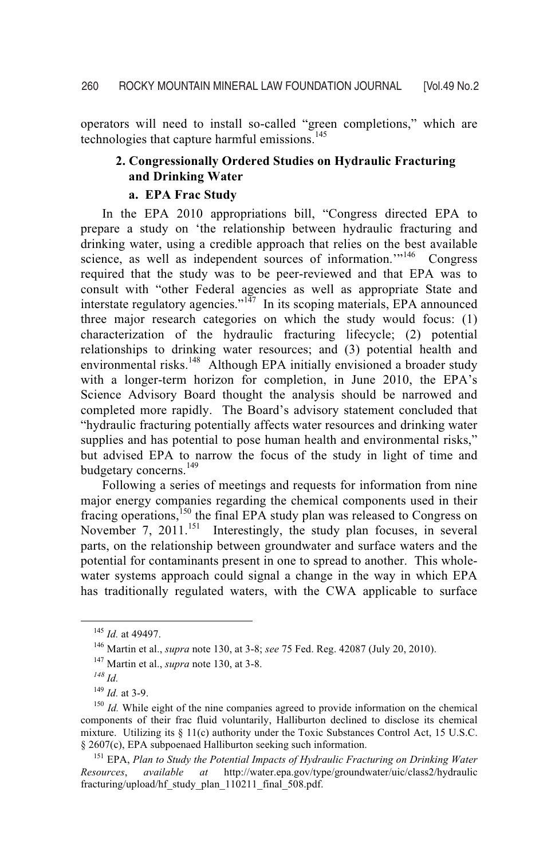operators will need to install so-called "green completions," which are technologies that capture harmful emissions.<sup>145</sup>

# **2. Congressionally Ordered Studies on Hydraulic Fracturing and Drinking Water**

## **a. EPA Frac Study**

 In the EPA 2010 appropriations bill, "Congress directed EPA to prepare a study on 'the relationship between hydraulic fracturing and drinking water, using a credible approach that relies on the best available science, as well as independent sources of information."<sup>146</sup> Congress required that the study was to be peer-reviewed and that EPA was to consult with "other Federal agencies as well as appropriate State and interstate regulatory agencies."<sup>147</sup> In its scoping materials, EPA announced three major research categories on which the study would focus: (1) characterization of the hydraulic fracturing lifecycle; (2) potential relationships to drinking water resources; and (3) potential health and environmental risks.<sup>148</sup> Although EPA initially envisioned a broader study with a longer-term horizon for completion, in June 2010, the EPA's Science Advisory Board thought the analysis should be narrowed and completed more rapidly. The Board's advisory statement concluded that "hydraulic fracturing potentially affects water resources and drinking water supplies and has potential to pose human health and environmental risks," but advised EPA to narrow the focus of the study in light of time and budgetary concerns.<sup>149</sup>

 Following a series of meetings and requests for information from nine major energy companies regarding the chemical components used in their fracing operations,<sup>150</sup> the final EPA study plan was released to Congress on November 7, 2011.<sup>151</sup> Interestingly, the study plan focuses, in several parts, on the relationship between groundwater and surface waters and the potential for contaminants present in one to spread to another. This wholewater systems approach could signal a change in the way in which EPA has traditionally regulated waters, with the CWA applicable to surface

*Resources*, *available at* http://water.epa.gov/type/groundwater/uic/class2/hydraulic fracturing/upload/hf\_study\_plan\_110211\_final\_508.pdf.

<sup>145</sup> *Id.* at 49497. 146 Martin et al., *supra* note 130, at 3-8; *see* 75 Fed. Reg. 42087 (July 20, 2010). 147 Martin et al., *supra* note 130, at 3-8.

 $\frac{^{148}}{^{149}}$  *Id.* at 3-9.

<sup>&</sup>lt;sup>150</sup> *Id.* While eight of the nine companies agreed to provide information on the chemical components of their frac fluid voluntarily, Halliburton declined to disclose its chemical mixture. Utilizing its § 11(c) authority under the Toxic Substances Control Act, 15 U.S.C. § 2607(c), EPA subpoenaed Halliburton seeking such information. 151 EPA, *Plan to Study the Potential Impacts of Hydraulic Fracturing on Drinking Water*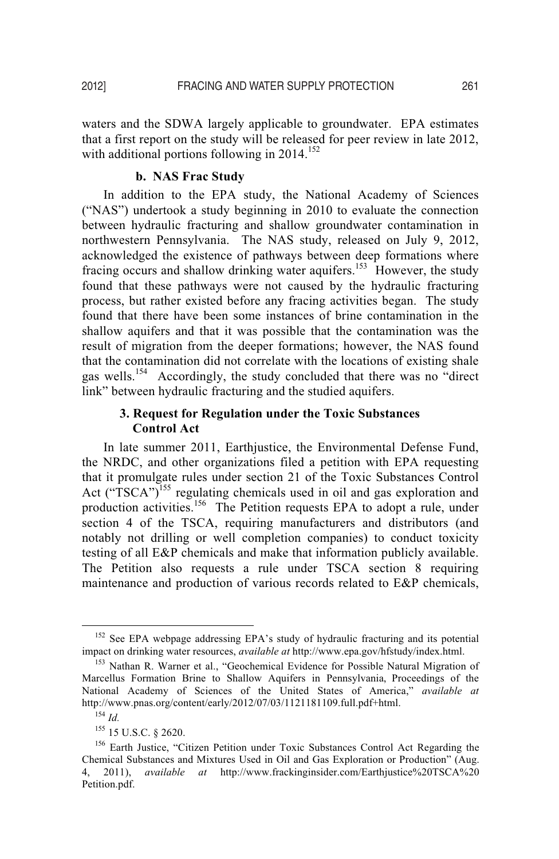waters and the SDWA largely applicable to groundwater. EPA estimates that a first report on the study will be released for peer review in late 2012, with additional portions following in  $2014$ <sup>152</sup>

#### **b. NAS Frac Study**

 In addition to the EPA study, the National Academy of Sciences ("NAS") undertook a study beginning in 2010 to evaluate the connection between hydraulic fracturing and shallow groundwater contamination in northwestern Pennsylvania. The NAS study, released on July 9, 2012, acknowledged the existence of pathways between deep formations where fracing occurs and shallow drinking water aquifers.<sup>153</sup> However, the study found that these pathways were not caused by the hydraulic fracturing process, but rather existed before any fracing activities began. The study found that there have been some instances of brine contamination in the shallow aquifers and that it was possible that the contamination was the result of migration from the deeper formations; however, the NAS found that the contamination did not correlate with the locations of existing shale gas wells.154 Accordingly, the study concluded that there was no "direct link" between hydraulic fracturing and the studied aquifers.

# **3. Request for Regulation under the Toxic Substances Control Act**

 In late summer 2011, Earthjustice, the Environmental Defense Fund, the NRDC, and other organizations filed a petition with EPA requesting that it promulgate rules under section 21 of the Toxic Substances Control Act (" $TSCA$ ")<sup>155</sup> regulating chemicals used in oil and gas exploration and production activities.<sup>156</sup> The Petition requests EPA to adopt a rule, under section 4 of the TSCA, requiring manufacturers and distributors (and notably not drilling or well completion companies) to conduct toxicity testing of all E&P chemicals and make that information publicly available. The Petition also requests a rule under TSCA section 8 requiring maintenance and production of various records related to E&P chemicals,

<sup>&</sup>lt;sup>152</sup> See EPA webpage addressing EPA's study of hydraulic fracturing and its potential impact on drinking water resources, *available at* http://www.epa.gov/hfstudy/index.html.<br><sup>153</sup> Nathan R. Warner et al., "Geochemical Evidence for Possible Natural Migration of

Marcellus Formation Brine to Shallow Aquifers in Pennsylvania, Proceedings of the National Academy of Sciences of the United States of America," *available at* http://www.pnas.org/content/early/2012/07/03/1121181109.full.pdf+html. 154 *Id.* 

<sup>&</sup>lt;sup>155</sup> 15 U.S.C. § 2620.<br><sup>156</sup> Earth Justice, "Citizen Petition under Toxic Substances Control Act Regarding the Chemical Substances and Mixtures Used in Oil and Gas Exploration or Production" (Aug. 4, 2011), *available at* http://www.frackinginsider.com/Earthjustice%20TSCA%20 Petition.pdf.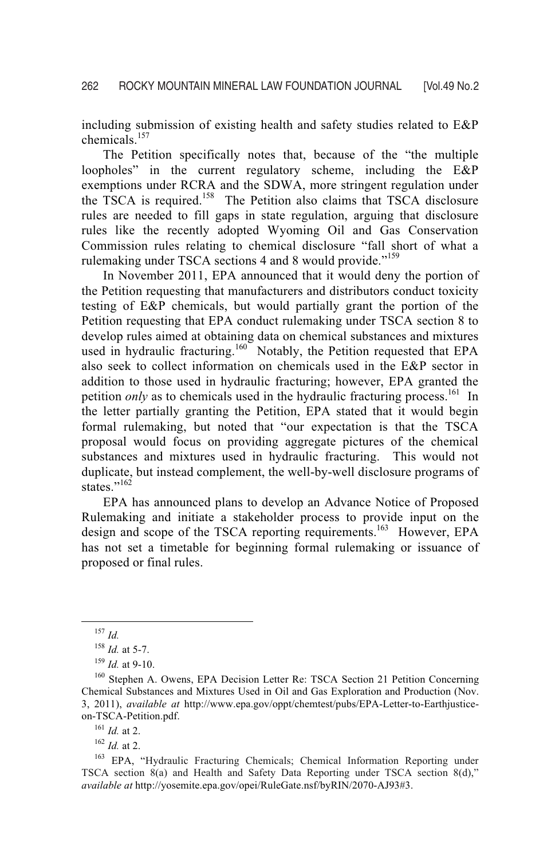including submission of existing health and safety studies related to E&P chemicals.<sup>157</sup>

The Petition specifically notes that, because of the "the multiple loopholes" in the current regulatory scheme, including the E&P exemptions under RCRA and the SDWA, more stringent regulation under the TSCA is required.<sup>158</sup> The Petition also claims that TSCA disclosure rules are needed to fill gaps in state regulation, arguing that disclosure rules like the recently adopted Wyoming Oil and Gas Conservation Commission rules relating to chemical disclosure "fall short of what a rulemaking under TSCA sections 4 and 8 would provide."<sup>159</sup>

In November 2011, EPA announced that it would deny the portion of the Petition requesting that manufacturers and distributors conduct toxicity testing of E&P chemicals, but would partially grant the portion of the Petition requesting that EPA conduct rulemaking under TSCA section 8 to develop rules aimed at obtaining data on chemical substances and mixtures used in hydraulic fracturing.<sup>160</sup> Notably, the Petition requested that EPA also seek to collect information on chemicals used in the E&P sector in addition to those used in hydraulic fracturing; however, EPA granted the petition *only* as to chemicals used in the hydraulic fracturing process.<sup>161</sup> In the letter partially granting the Petition, EPA stated that it would begin formal rulemaking, but noted that "our expectation is that the TSCA proposal would focus on providing aggregate pictures of the chemical substances and mixtures used in hydraulic fracturing. This would not duplicate, but instead complement, the well-by-well disclosure programs of states."<sup>162</sup>

 EPA has announced plans to develop an Advance Notice of Proposed Rulemaking and initiate a stakeholder process to provide input on the design and scope of the TSCA reporting requirements.<sup>163</sup> However, EPA has not set a timetable for beginning formal rulemaking or issuance of proposed or final rules.

 <sup>157</sup> *Id.*

<sup>&</sup>lt;sup>158</sup> *Id.* at 5-7.<br><sup>159</sup> *Id.* at 9-10.<br><sup>160</sup> Stephen A. Owens, EPA Decision Letter Re: TSCA Section 21 Petition Concerning Chemical Substances and Mixtures Used in Oil and Gas Exploration and Production (Nov. 3, 2011), *available at* http://www.epa.gov/oppt/chemtest/pubs/EPA-Letter-to-Earthjusticeon-TSCA-Petition.pdf.<br><sup>161</sup> *Id.* at 2.<br><sup>162</sup> *Id.* at 2.<br><sup>163</sup> EPA, "Hydraulic Fracturing Chemicals; Chemical Information Reporting under

TSCA section 8(a) and Health and Safety Data Reporting under TSCA section 8(d)," *available at* http://yosemite.epa.gov/opei/RuleGate.nsf/byRIN/2070-AJ93#3.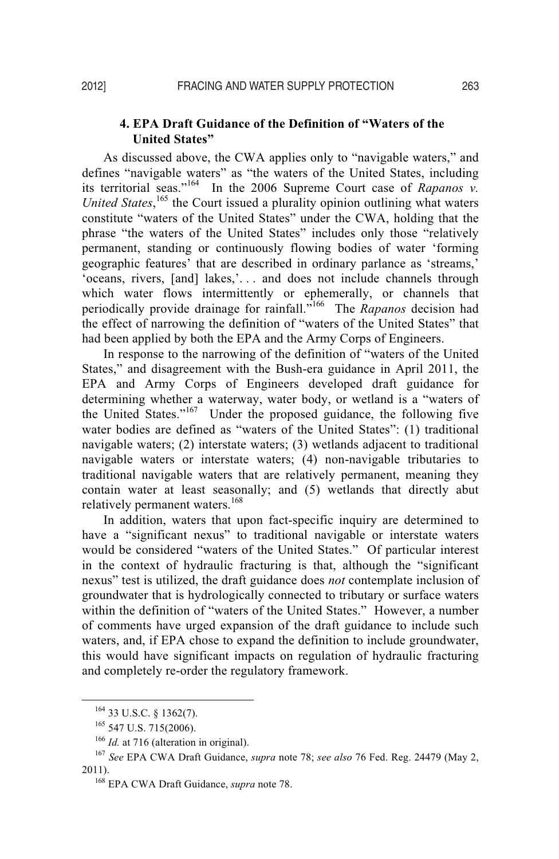# **4. EPA Draft Guidance of the Definition of "Waters of the United States"**

As discussed above, the CWA applies only to "navigable waters," and defines "navigable waters" as "the waters of the United States, including its territorial seas."164 In the 2006 Supreme Court case of *Rapanos v.*  United States,<sup>165</sup> the Court issued a plurality opinion outlining what waters constitute "waters of the United States" under the CWA, holding that the phrase "the waters of the United States" includes only those "relatively permanent, standing or continuously flowing bodies of water 'forming geographic features' that are described in ordinary parlance as 'streams,' 'oceans, rivers, [and] lakes,'. . . and does not include channels through which water flows intermittently or ephemerally, or channels that periodically provide drainage for rainfall."166 The *Rapanos* decision had the effect of narrowing the definition of "waters of the United States" that had been applied by both the EPA and the Army Corps of Engineers.

In response to the narrowing of the definition of "waters of the United States," and disagreement with the Bush-era guidance in April 2011, the EPA and Army Corps of Engineers developed draft guidance for determining whether a waterway, water body, or wetland is a "waters of the United States."<sup>167</sup> Under the proposed guidance, the following five water bodies are defined as "waters of the United States": (1) traditional navigable waters; (2) interstate waters; (3) wetlands adjacent to traditional navigable waters or interstate waters; (4) non-navigable tributaries to traditional navigable waters that are relatively permanent, meaning they contain water at least seasonally; and (5) wetlands that directly abut relatively permanent waters.<sup>168</sup>

In addition, waters that upon fact-specific inquiry are determined to have a "significant nexus" to traditional navigable or interstate waters would be considered "waters of the United States." Of particular interest in the context of hydraulic fracturing is that, although the "significant nexus" test is utilized, the draft guidance does *not* contemplate inclusion of groundwater that is hydrologically connected to tributary or surface waters within the definition of "waters of the United States." However, a number of comments have urged expansion of the draft guidance to include such waters, and, if EPA chose to expand the definition to include groundwater, this would have significant impacts on regulation of hydraulic fracturing and completely re-order the regulatory framework.

<sup>164 33</sup> U.S.C. § 1362(7).<br><sup>165</sup> 547 U.S. 715(2006).<br><sup>166</sup> *Id.* at 716 (alteration in original).<br><sup>167</sup> *See* EPA CWA Draft Guidance, *supra* note 78; *see also* 76 Fed. Reg. 24479 (May 2, 2011). 168 EPA CWA Draft Guidance, *supra* note 78.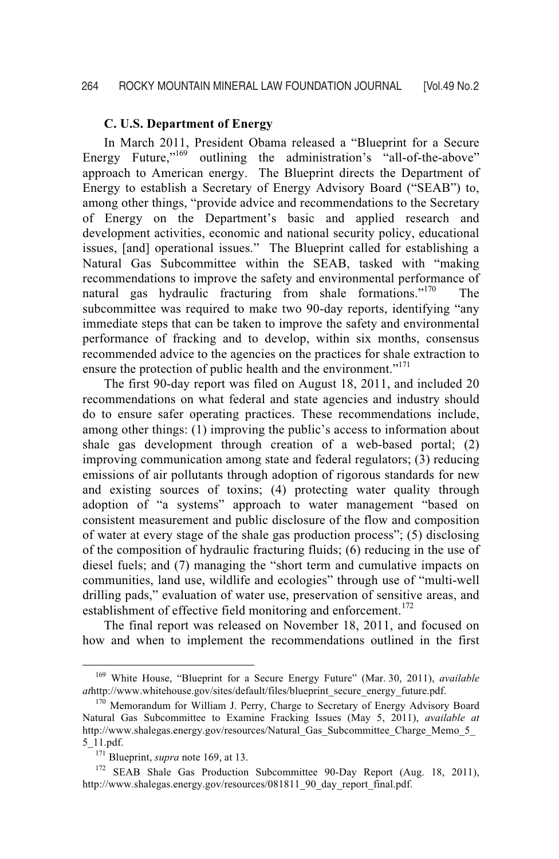In March 2011, President Obama released a "Blueprint for a Secure Energy Future,"<sup>169</sup> outlining the administration's "all-of-the-above" approach to American energy. The Blueprint directs the Department of Energy to establish a Secretary of Energy Advisory Board ("SEAB") to, among other things, "provide advice and recommendations to the Secretary of Energy on the Department's basic and applied research and development activities, economic and national security policy, educational issues, [and] operational issues." The Blueprint called for establishing a Natural Gas Subcommittee within the SEAB, tasked with "making recommendations to improve the safety and environmental performance of natural gas hydraulic fracturing from shale formations."<sup>170</sup> The subcommittee was required to make two 90-day reports, identifying "any immediate steps that can be taken to improve the safety and environmental performance of fracking and to develop, within six months, consensus recommended advice to the agencies on the practices for shale extraction to ensure the protection of public health and the environment."<sup>171</sup>

The first 90-day report was filed on August 18, 2011, and included 20 recommendations on what federal and state agencies and industry should do to ensure safer operating practices. These recommendations include, among other things: (1) improving the public's access to information about shale gas development through creation of a web-based portal; (2) improving communication among state and federal regulators; (3) reducing emissions of air pollutants through adoption of rigorous standards for new and existing sources of toxins; (4) protecting water quality through adoption of "a systems" approach to water management "based on consistent measurement and public disclosure of the flow and composition of water at every stage of the shale gas production process"; (5) disclosing of the composition of hydraulic fracturing fluids; (6) reducing in the use of diesel fuels; and (7) managing the "short term and cumulative impacts on communities, land use, wildlife and ecologies" through use of "multi-well drilling pads," evaluation of water use, preservation of sensitive areas, and establishment of effective field monitoring and enforcement.<sup>172</sup>

The final report was released on November 18, 2011, and focused on how and when to implement the recommendations outlined in the first

 <sup>169</sup> White House, "Blueprint for a Secure Energy Future" (Mar. 30, 2011), *available at*http://www.whitehouse.gov/sites/default/files/blueprint\_secure\_energy\_future.pdf. 170 Memorandum for William J. Perry, Charge to Secretary of Energy Advisory Board

Natural Gas Subcommittee to Examine Fracking Issues (May 5, 2011), *available at*  http://www.shalegas.energy.gov/resources/Natural Gas Subcommittee Charge Memo 5 5\_11.pdf.<br><sup>171</sup> Blueprint, *supra* note 169, at 13.<br><sup>172</sup> SEAB Shale Gas Production Subcommittee 90-Day Report (Aug. 18, 2011),

http://www.shalegas.energy.gov/resources/081811\_90\_day\_report\_final.pdf.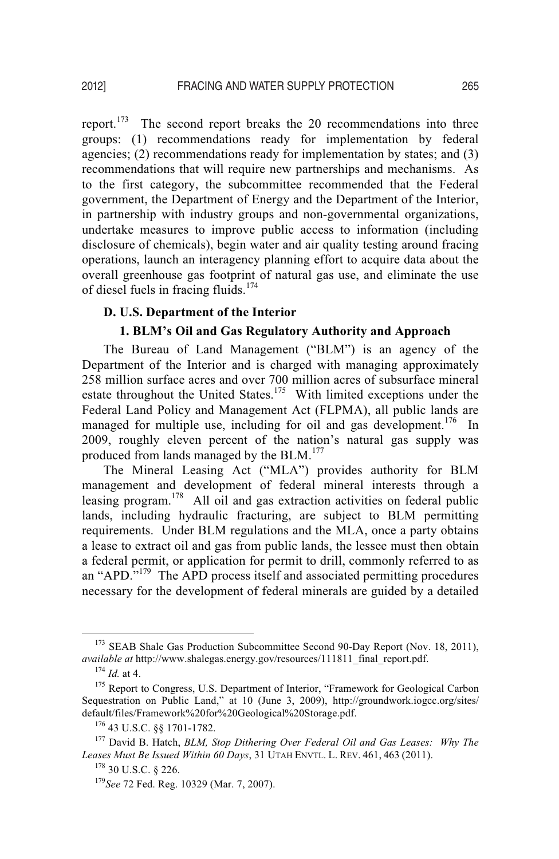report.<sup>173</sup> The second report breaks the 20 recommendations into three groups: (1) recommendations ready for implementation by federal agencies; (2) recommendations ready for implementation by states; and (3) recommendations that will require new partnerships and mechanisms. As to the first category, the subcommittee recommended that the Federal government, the Department of Energy and the Department of the Interior, in partnership with industry groups and non-governmental organizations, undertake measures to improve public access to information (including disclosure of chemicals), begin water and air quality testing around fracing operations, launch an interagency planning effort to acquire data about the overall greenhouse gas footprint of natural gas use, and eliminate the use of diesel fuels in fracing fluids.<sup>174</sup>

#### **D. U.S. Department of the Interior**

#### **1. BLM's Oil and Gas Regulatory Authority and Approach**

 The Bureau of Land Management ("BLM") is an agency of the Department of the Interior and is charged with managing approximately 258 million surface acres and over 700 million acres of subsurface mineral estate throughout the United States.<sup>175</sup> With limited exceptions under the Federal Land Policy and Management Act (FLPMA), all public lands are managed for multiple use, including for oil and gas development.<sup>176</sup> In 2009, roughly eleven percent of the nation's natural gas supply was produced from lands managed by the BLM.<sup>177</sup>

The Mineral Leasing Act ("MLA") provides authority for BLM management and development of federal mineral interests through a leasing program.<sup>178</sup> All oil and gas extraction activities on federal public lands, including hydraulic fracturing, are subject to BLM permitting requirements. Under BLM regulations and the MLA, once a party obtains a lease to extract oil and gas from public lands, the lessee must then obtain a federal permit, or application for permit to drill, commonly referred to as an "APD."<sup>179</sup> The APD process itself and associated permitting procedures necessary for the development of federal minerals are guided by a detailed

<sup>&</sup>lt;sup>173</sup> SEAB Shale Gas Production Subcommittee Second 90-Day Report (Nov. 18, 2011), *available at* http://www.shalegas.energy.gov/resources/111811\_final\_report.pdf. <sup>174</sup> *Id.* at 4. 175 Report to Congress, U.S. Department of Interior, "Framework for Geological Carbon

Sequestration on Public Land," at 10 (June 3, 2009), http://groundwork.iogcc.org/sites/ default/files/Framework%20for%20Geological%20Storage.pdf.<br><sup>176</sup> 43 U.S.C. §§ 1701-1782.<br><sup>177</sup> David B. Hatch, *BLM, Stop Dithering Over Federal Oil and Gas Leases: Why The* 

*Leases Must Be Issued Within 60 Days*, 31 UTAH ENVTL. L. REV. 461, 463 (2011).

<sup>&</sup>lt;sup>178</sup> 30 U.S.C. § 226.<br><sup>179</sup>*See* 72 Fed. Reg. 10329 (Mar. 7, 2007).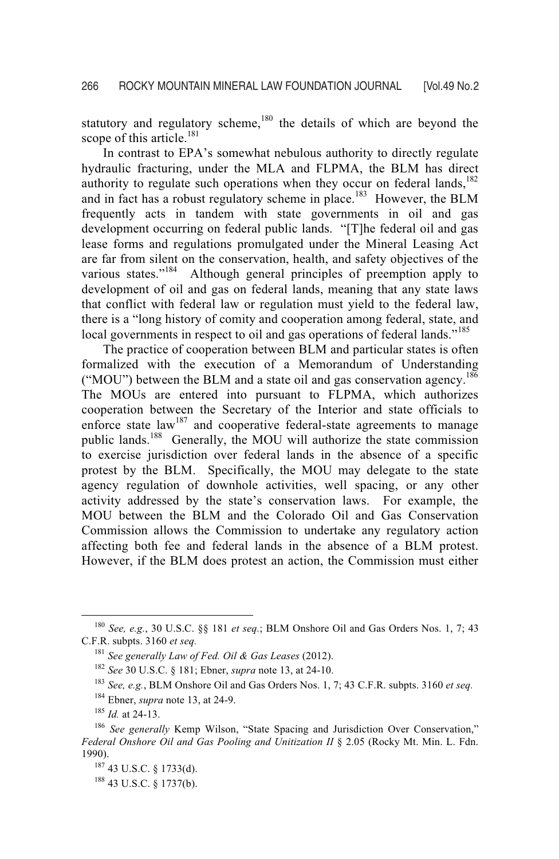statutory and regulatory scheme, $180$  the details of which are beyond the scope of this article.<sup>181</sup>

In contrast to EPA's somewhat nebulous authority to directly regulate hydraulic fracturing, under the MLA and FLPMA, the BLM has direct authority to regulate such operations when they occur on federal lands, $182$ and in fact has a robust regulatory scheme in place.<sup>183</sup> However, the BLM frequently acts in tandem with state governments in oil and gas development occurring on federal public lands. "[T]he federal oil and gas lease forms and regulations promulgated under the Mineral Leasing Act are far from silent on the conservation, health, and safety objectives of the various states."<sup>184</sup> Although general principles of preemption apply to development of oil and gas on federal lands, meaning that any state laws that conflict with federal law or regulation must yield to the federal law, there is a "long history of comity and cooperation among federal, state, and local governments in respect to oil and gas operations of federal lands."<sup>185</sup>

The practice of cooperation between BLM and particular states is often formalized with the execution of a Memorandum of Understanding ("MOU") between the BLM and a state oil and gas conservation agency.<sup>186</sup> The MOUs are entered into pursuant to FLPMA, which authorizes cooperation between the Secretary of the Interior and state officials to enforce state law<sup>187</sup> and cooperative federal-state agreements to manage public lands.<sup>188</sup> Generally, the MOU will authorize the state commission to exercise jurisdiction over federal lands in the absence of a specific protest by the BLM. Specifically, the MOU may delegate to the state agency regulation of downhole activities, well spacing, or any other activity addressed by the state's conservation laws. For example, the MOU between the BLM and the Colorado Oil and Gas Conservation Commission allows the Commission to undertake any regulatory action affecting both fee and federal lands in the absence of a BLM protest. However, if the BLM does protest an action, the Commission must either

 <sup>180</sup> *See, e.g.*, 30 U.S.C. §§ 181 *et seq.*; BLM Onshore Oil and Gas Orders Nos. 1, 7; 43 C.F.R. subpts. 3160 *et seq.*

<sup>&</sup>lt;sup>181</sup> See generally Law of Fed. Oil & Gas Leases (2012).<br><sup>182</sup> See 30 U.S.C. § 181; Ebner, *supra* note 13, at 24-10.<br><sup>183</sup> See, e.g., BLM Onshore Oil and Gas Orders Nos. 1, 7; 43 C.F.R. subpts. 3160 *et seq.* 

<sup>&</sup>lt;sup>184</sup> Ebner, *supra* note 13, at 24-9.<br><sup>185</sup> *Id.* at 24-13. <sup>186</sup> *See generally* Kemp Wilson, "State Spacing and Jurisdiction Over Conservation," Federal Onshore Oil and Gas Pooling and Unitization II § 2.05 (Rocky Mt. Min. L. Fdn. 1990)

 $^{187}$  43 U.S.C. § 1733(d).<br><sup>188</sup> 43 U.S.C. § 1737(b).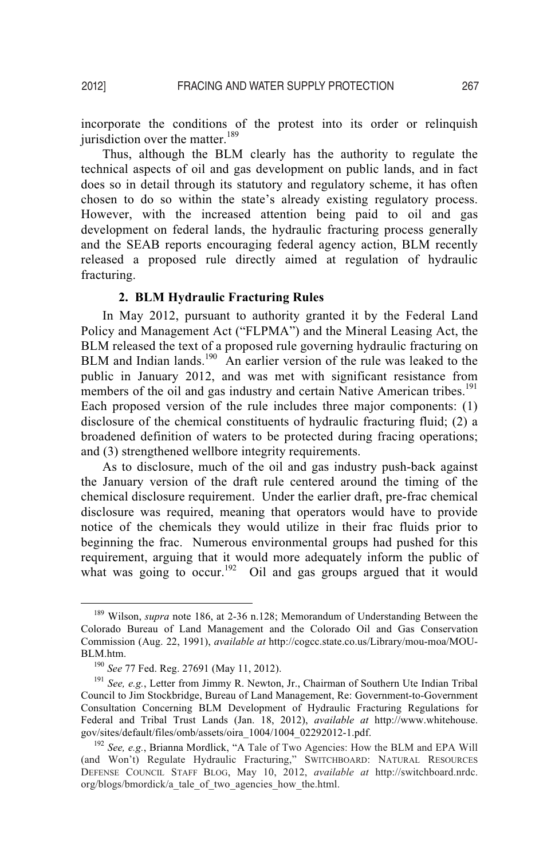incorporate the conditions of the protest into its order or relinquish jurisdiction over the matter.<sup>189</sup>

Thus, although the BLM clearly has the authority to regulate the technical aspects of oil and gas development on public lands, and in fact does so in detail through its statutory and regulatory scheme, it has often chosen to do so within the state's already existing regulatory process. However, with the increased attention being paid to oil and gas development on federal lands, the hydraulic fracturing process generally and the SEAB reports encouraging federal agency action, BLM recently released a proposed rule directly aimed at regulation of hydraulic fracturing.

# **2. BLM Hydraulic Fracturing Rules**

In May 2012, pursuant to authority granted it by the Federal Land Policy and Management Act ("FLPMA") and the Mineral Leasing Act, the BLM released the text of a proposed rule governing hydraulic fracturing on BLM and Indian lands.<sup>190</sup> An earlier version of the rule was leaked to the public in January 2012, and was met with significant resistance from members of the oil and gas industry and certain Native American tribes.<sup>191</sup> Each proposed version of the rule includes three major components: (1) disclosure of the chemical constituents of hydraulic fracturing fluid; (2) a broadened definition of waters to be protected during fracing operations; and (3) strengthened wellbore integrity requirements.

As to disclosure, much of the oil and gas industry push-back against the January version of the draft rule centered around the timing of the chemical disclosure requirement. Under the earlier draft, pre-frac chemical disclosure was required, meaning that operators would have to provide notice of the chemicals they would utilize in their frac fluids prior to beginning the frac. Numerous environmental groups had pushed for this requirement, arguing that it would more adequately inform the public of what was going to occur.<sup>192</sup> Oil and gas groups argued that it would

<sup>&</sup>lt;sup>189</sup> Wilson, *supra* note 186, at 2-36 n.128; Memorandum of Understanding Between the Colorado Bureau of Land Management and the Colorado Oil and Gas Conservation Commission (Aug. 22, 1991), *available at* http://cogcc.state.co.us/Library/mou-moa/MOU-BLM.htm.

<sup>&</sup>lt;sup>190</sup> See 77 Fed. Reg. 27691 (May 11, 2012).

<sup>&</sup>lt;sup>191</sup> See, e.g., Letter from Jimmy R. Newton, Jr., Chairman of Southern Ute Indian Tribal Council to Jim Stockbridge, Bureau of Land Management, Re: Government-to-Government Consultation Concerning BLM Development of Hydraulic Fracturing Regulations for Federal and Tribal Trust Lands (Jan. 18, 2012), *available at* http://www.whitehouse. gov/sites/default/files/omb/assets/oira\_1004/1004\_02292012-1.pdf.<br><sup>192</sup> See, e.g., Brianna Mordlick, "A Tale of Two Agencies: How the BLM and EPA Will

<sup>&</sup>lt;sup>192</sup> See, e.g., Brianna Mordlick, "A Tale of Two Agencies: How the BLM and EPA Will (and Won't) Regulate Hydraulic Fracturing," SWITCHBOARD: NATURAL RESOURCES DEFENSE COUNCIL STAFF BLOG, May 10, 2012, *available at* http://switchboard.nrdc. org/blogs/bmordick/a\_tale\_of\_two\_agencies\_how\_the.html.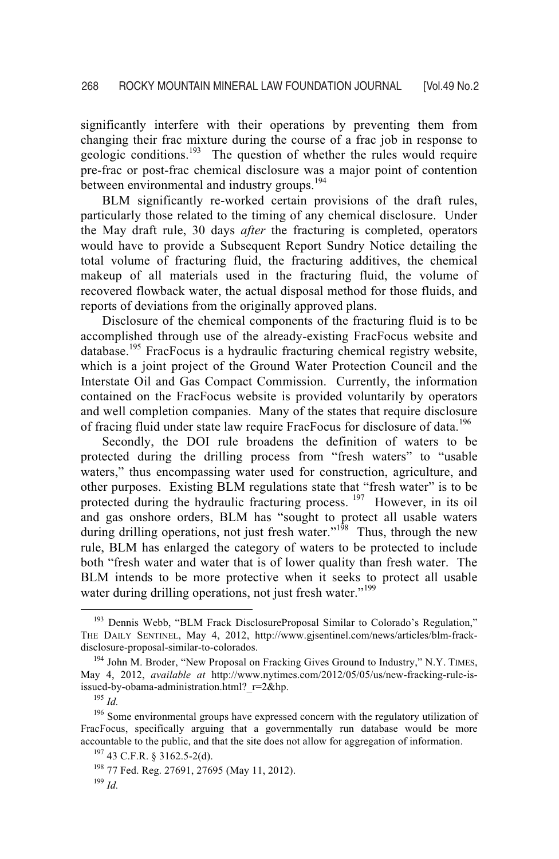significantly interfere with their operations by preventing them from changing their frac mixture during the course of a frac job in response to geologic conditions.<sup>193</sup> The question of whether the rules would require pre-frac or post-frac chemical disclosure was a major point of contention between environmental and industry groups.<sup>194</sup>

BLM significantly re-worked certain provisions of the draft rules, particularly those related to the timing of any chemical disclosure. Under the May draft rule, 30 days *after* the fracturing is completed, operators would have to provide a Subsequent Report Sundry Notice detailing the total volume of fracturing fluid, the fracturing additives, the chemical makeup of all materials used in the fracturing fluid, the volume of recovered flowback water, the actual disposal method for those fluids, and reports of deviations from the originally approved plans.

Disclosure of the chemical components of the fracturing fluid is to be accomplished through use of the already-existing FracFocus website and  $database$ <sup>195</sup> FracFocus is a hydraulic fracturing chemical registry website, which is a joint project of the Ground Water Protection Council and the Interstate Oil and Gas Compact Commission. Currently, the information contained on the FracFocus website is provided voluntarily by operators and well completion companies. Many of the states that require disclosure of fracing fluid under state law require FracFocus for disclosure of data.<sup>196</sup>

Secondly, the DOI rule broadens the definition of waters to be protected during the drilling process from "fresh waters" to "usable waters," thus encompassing water used for construction, agriculture, and other purposes. Existing BLM regulations state that "fresh water" is to be protected during the hydraulic fracturing process. <sup>197</sup> However, in its oil and gas onshore orders, BLM has "sought to protect all usable waters during drilling operations, not just fresh water."<sup>198</sup> Thus, through the new rule, BLM has enlarged the category of waters to be protected to include both "fresh water and water that is of lower quality than fresh water. The BLM intends to be more protective when it seeks to protect all usable water during drilling operations, not just fresh water."<sup>199</sup>

<sup>&</sup>lt;sup>193</sup> Dennis Webb, "BLM Frack DisclosureProposal Similar to Colorado's Regulation," THE DAILY SENTINEL, May 4, 2012, http://www.gjsentinel.com/news/articles/blm-frackdisclosure-proposal-similar-to-colorados.<br><sup>194</sup> John M. Broder, "New Proposal on Fracking Gives Ground to Industry," N.Y. TIMES,

May 4, 2012, *available at* http://www.nytimes.com/2012/05/05/us/new-fracking-rule-isissued-by-obama-administration.html?\_r=2&hp.<br><sup>195</sup> *Id.* <sup>196</sup> Some environmental groups have expressed concern with the regulatory utilization of

FracFocus, specifically arguing that a governmentally run database would be more accountable to the public, and that the site does not allow for aggregation of information.<br><sup>197</sup> 43 C.F.R. § 3162.5-2(d).<br><sup>198</sup> 77 Fed. Reg. 27691, 27695 (May 11, 2012).<br><sup>199</sup> *Id*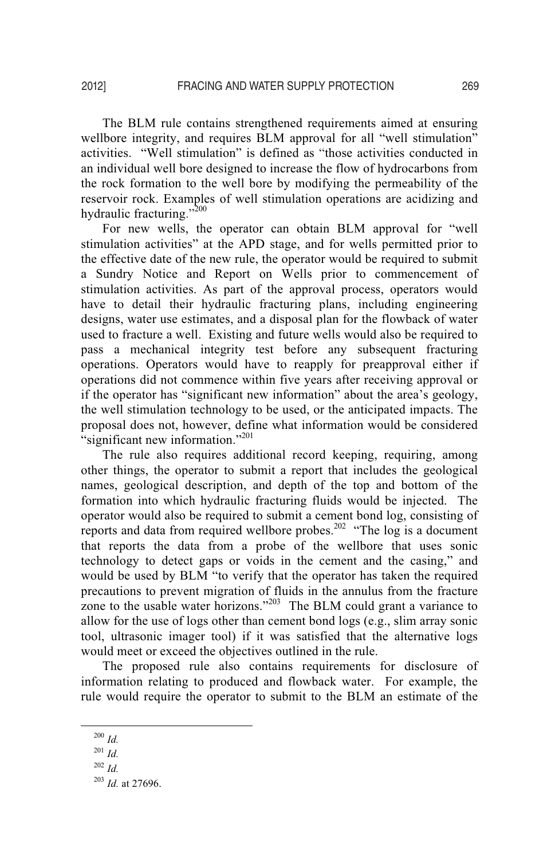The BLM rule contains strengthened requirements aimed at ensuring wellbore integrity, and requires BLM approval for all "well stimulation" activities. "Well stimulation" is defined as "those activities conducted in an individual well bore designed to increase the flow of hydrocarbons from the rock formation to the well bore by modifying the permeability of the reservoir rock. Examples of well stimulation operations are acidizing and hydraulic fracturing."<sup>200</sup>

For new wells, the operator can obtain BLM approval for "well stimulation activities" at the APD stage, and for wells permitted prior to the effective date of the new rule, the operator would be required to submit a Sundry Notice and Report on Wells prior to commencement of stimulation activities. As part of the approval process, operators would have to detail their hydraulic fracturing plans, including engineering designs, water use estimates, and a disposal plan for the flowback of water used to fracture a well. Existing and future wells would also be required to pass a mechanical integrity test before any subsequent fracturing operations. Operators would have to reapply for preapproval either if operations did not commence within five years after receiving approval or if the operator has "significant new information" about the area's geology, the well stimulation technology to be used, or the anticipated impacts. The proposal does not, however, define what information would be considered "significant new information."<sup>201</sup>

The rule also requires additional record keeping, requiring, among other things, the operator to submit a report that includes the geological names, geological description, and depth of the top and bottom of the formation into which hydraulic fracturing fluids would be injected. The operator would also be required to submit a cement bond log, consisting of reports and data from required wellbore probes.<sup>202</sup> "The log is a document that reports the data from a probe of the wellbore that uses sonic technology to detect gaps or voids in the cement and the casing," and would be used by BLM "to verify that the operator has taken the required precautions to prevent migration of fluids in the annulus from the fracture zone to the usable water horizons."<sup>203</sup> The BLM could grant a variance to allow for the use of logs other than cement bond logs (e.g., slim array sonic tool, ultrasonic imager tool) if it was satisfied that the alternative logs would meet or exceed the objectives outlined in the rule.

The proposed rule also contains requirements for disclosure of information relating to produced and flowback water. For example, the rule would require the operator to submit to the BLM an estimate of the

 $200$  *Id.* 

 $201$  *Id.* 

 $^{202}$  *Id.* 

<sup>203</sup> *Id.* at 27696.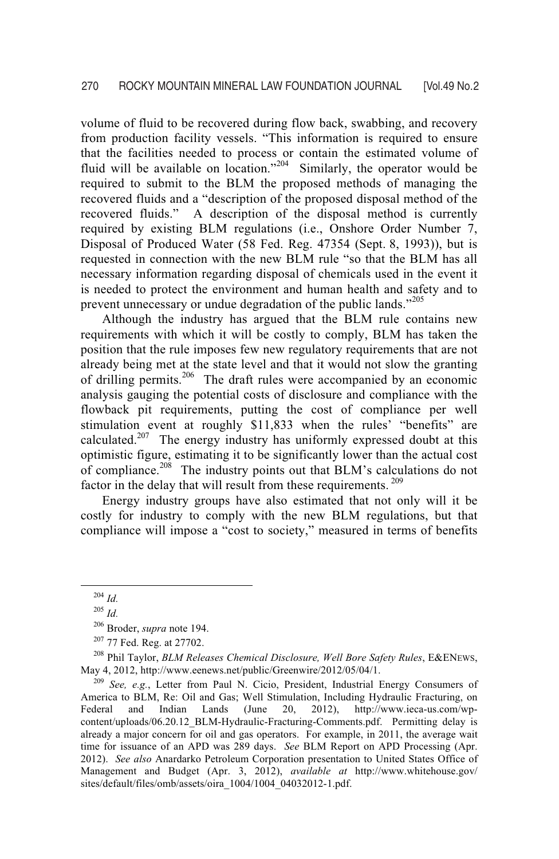volume of fluid to be recovered during flow back, swabbing, and recovery from production facility vessels. "This information is required to ensure that the facilities needed to process or contain the estimated volume of fluid will be available on location."<sup>204</sup> Similarly, the operator would be required to submit to the BLM the proposed methods of managing the recovered fluids and a "description of the proposed disposal method of the recovered fluids." A description of the disposal method is currently required by existing BLM regulations (i.e., Onshore Order Number 7, Disposal of Produced Water (58 Fed. Reg. 47354 (Sept. 8, 1993)), but is requested in connection with the new BLM rule "so that the BLM has all necessary information regarding disposal of chemicals used in the event it is needed to protect the environment and human health and safety and to prevent unnecessary or undue degradation of the public lands."<sup>205</sup>

Although the industry has argued that the BLM rule contains new requirements with which it will be costly to comply, BLM has taken the position that the rule imposes few new regulatory requirements that are not already being met at the state level and that it would not slow the granting of drilling permits.206 The draft rules were accompanied by an economic analysis gauging the potential costs of disclosure and compliance with the flowback pit requirements, putting the cost of compliance per well stimulation event at roughly \$11,833 when the rules' "benefits" are calculated.<sup>207</sup> The energy industry has uniformly expressed doubt at this optimistic figure, estimating it to be significantly lower than the actual cost of compliance.<sup>208</sup> The industry points out that BLM's calculations do not factor in the delay that will result from these requirements.<sup>209</sup>

Energy industry groups have also estimated that not only will it be costly for industry to comply with the new BLM regulations, but that compliance will impose a "cost to society," measured in terms of benefits

 $^{204}$  *Id.* 

<sup>205</sup> *Id.* 

<sup>&</sup>lt;sup>206</sup> Broder, *supra* note 194.<br><sup>207</sup> 77 Fed. Reg. at 27702.<br><sup>208</sup> Phil Taylor, *BLM Releases Chemical Disclosure, Well Bore Safety Rules*, E&ENEws, May 4, 2012, http://www.eenews.net/public/Greenwire/2012/05/04/1. 209 *See, e.g.*, Letter from Paul N. Cicio, President, Industrial Energy Consumers of

America to BLM, Re: Oil and Gas; Well Stimulation, Including Hydraulic Fracturing, on Federal and Indian Lands (June 20, 2012), http://www.ieca-us.com/wpcontent/uploads/06.20.12\_BLM-Hydraulic-Fracturing-Comments.pdf. Permitting delay is already a major concern for oil and gas operators. For example, in 2011, the average wait time for issuance of an APD was 289 days. *See* BLM Report on APD Processing (Apr. 2012). *See also* Anardarko Petroleum Corporation presentation to United States Office of Management and Budget (Apr. 3, 2012), *available at* http://www.whitehouse.gov/ sites/default/files/omb/assets/oira\_1004/1004\_04032012-1.pdf.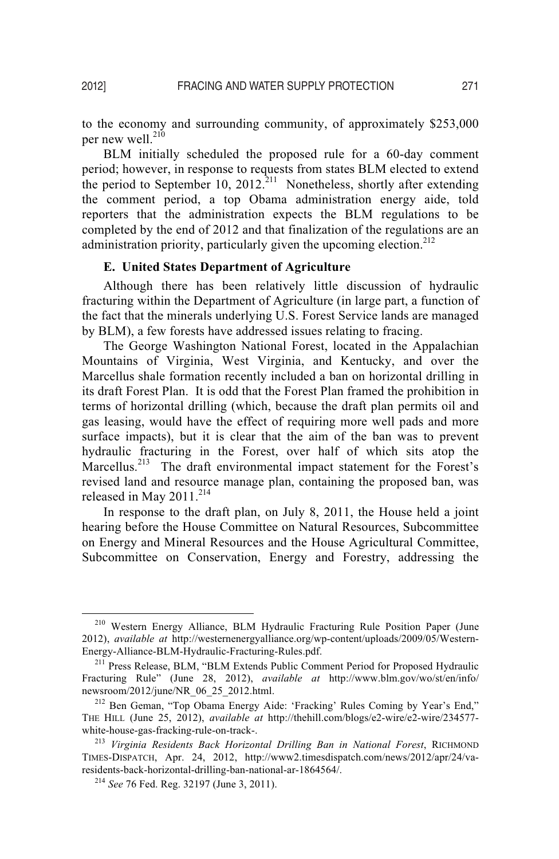to the economy and surrounding community, of approximately \$253,000 per new well. $^{210}$ 

BLM initially scheduled the proposed rule for a 60-day comment period; however, in response to requests from states BLM elected to extend the period to September 10, 2012.<sup>211</sup> Nonetheless, shortly after extending the comment period, a top Obama administration energy aide, told reporters that the administration expects the BLM regulations to be completed by the end of 2012 and that finalization of the regulations are an administration priority, particularly given the upcoming election.<sup>212</sup>

#### **E. United States Department of Agriculture**

 Although there has been relatively little discussion of hydraulic fracturing within the Department of Agriculture (in large part, a function of the fact that the minerals underlying U.S. Forest Service lands are managed by BLM), a few forests have addressed issues relating to fracing.

The George Washington National Forest, located in the Appalachian Mountains of Virginia, West Virginia, and Kentucky, and over the Marcellus shale formation recently included a ban on horizontal drilling in its draft Forest Plan. It is odd that the Forest Plan framed the prohibition in terms of horizontal drilling (which, because the draft plan permits oil and gas leasing, would have the effect of requiring more well pads and more surface impacts), but it is clear that the aim of the ban was to prevent hydraulic fracturing in the Forest, over half of which sits atop the Marcellus.<sup>213</sup> The draft environmental impact statement for the Forest's revised land and resource manage plan, containing the proposed ban, was released in May 2011.<sup>214</sup>

In response to the draft plan, on July 8, 2011, the House held a joint hearing before the House Committee on Natural Resources, Subcommittee on Energy and Mineral Resources and the House Agricultural Committee, Subcommittee on Conservation, Energy and Forestry, addressing the

 <sup>210</sup> Western Energy Alliance, BLM Hydraulic Fracturing Rule Position Paper (June 2012), *available at* http://westernenergyalliance.org/wp-content/uploads/2009/05/Western-Energy-Alliance-BLM-Hydraulic-Fracturing-Rules.pdf.<br><sup>211</sup> Press Release, BLM, "BLM Extends Public Comment Period for Proposed Hydraulic

Fracturing Rule" (June 28, 2012), *available at* http://www.blm.gov/wo/st/en/info/ newsroom/2012/june/NR\_06\_25\_2012.html.<br><sup>212</sup> Ben Geman, "Top Obama Energy Aide: 'Fracking' Rules Coming by Year's End,"

THE HILL (June 25, 2012), *available at* http://thehill.com/blogs/e2-wire/e2-wire/234577 white-house-gas-fracking-rule-on-track-.<br><sup>213</sup> *Virginia Residents Back Horizontal Drilling Ban in National Forest*, RICHMOND

TIMES-DISPATCH, Apr. 24, 2012, http://www2.timesdispatch.com/news/2012/apr/24/varesidents-back-horizontal-drilling-ban-national-ar-1864564/. 214 *See* 76 Fed. Reg. 32197 (June 3, 2011).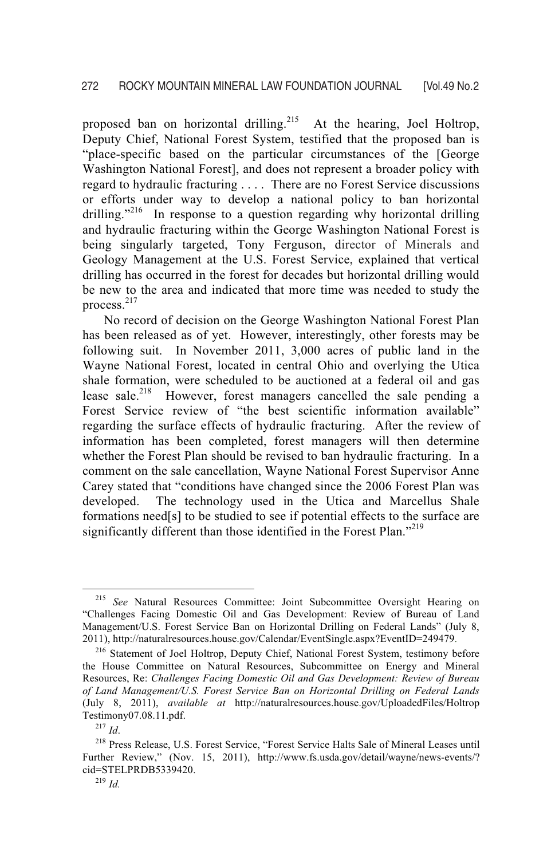proposed ban on horizontal drilling.<sup>215</sup> At the hearing, Joel Holtrop, Deputy Chief, National Forest System, testified that the proposed ban is "place-specific based on the particular circumstances of the [George Washington National Forest], and does not represent a broader policy with regard to hydraulic fracturing . . . . There are no Forest Service discussions or efforts under way to develop a national policy to ban horizontal drilling."<sup>216</sup> In response to a question regarding why horizontal drilling and hydraulic fracturing within the George Washington National Forest is being singularly targeted, Tony Ferguson, director of Minerals and Geology Management at the U.S. Forest Service, explained that vertical drilling has occurred in the forest for decades but horizontal drilling would be new to the area and indicated that more time was needed to study the process.<sup>217</sup>

 No record of decision on the George Washington National Forest Plan has been released as of yet. However, interestingly, other forests may be following suit. In November 2011, 3,000 acres of public land in the Wayne National Forest, located in central Ohio and overlying the Utica shale formation, were scheduled to be auctioned at a federal oil and gas lease sale.<sup>218</sup> However, forest managers cancelled the sale pending a Forest Service review of "the best scientific information available" regarding the surface effects of hydraulic fracturing. After the review of information has been completed, forest managers will then determine whether the Forest Plan should be revised to ban hydraulic fracturing. In a comment on the sale cancellation, Wayne National Forest Supervisor Anne Carey stated that "conditions have changed since the 2006 Forest Plan was developed. The technology used in the Utica and Marcellus Shale formations need[s] to be studied to see if potential effects to the surface are significantly different than those identified in the Forest Plan."<sup>219</sup>

 <sup>215</sup> *See* Natural Resources Committee: Joint Subcommittee Oversight Hearing on "Challenges Facing Domestic Oil and Gas Development: Review of Bureau of Land Management/U.S. Forest Service Ban on Horizontal Drilling on Federal Lands" (July 8, 2011), http://naturalresources.house.gov/Calendar/EventSingle.aspx?EventID=249479.

<sup>216</sup> Statement of Joel Holtrop, Deputy Chief, National Forest System, testimony before the House Committee on Natural Resources, Subcommittee on Energy and Mineral Resources, Re: *Challenges Facing Domestic Oil and Gas Development: Review of Bureau of Land Management/U.S. Forest Service Ban on Horizontal Drilling on Federal Lands* (July 8, 2011), *available at* http://naturalresources.house.gov/UploadedFiles/Holtrop

<sup>&</sup>lt;sup>217</sup> *Id.* 218 *Id.* 218 *Id.* 218 Press Release, U.S. Forest Service, "Forest Service Halts Sale of Mineral Leases until Further Review," (Nov. 15, 2011), http://www.fs.usda.gov/detail/wayne/news-events/? cid=STELPRDB5339420. 219 *Id.*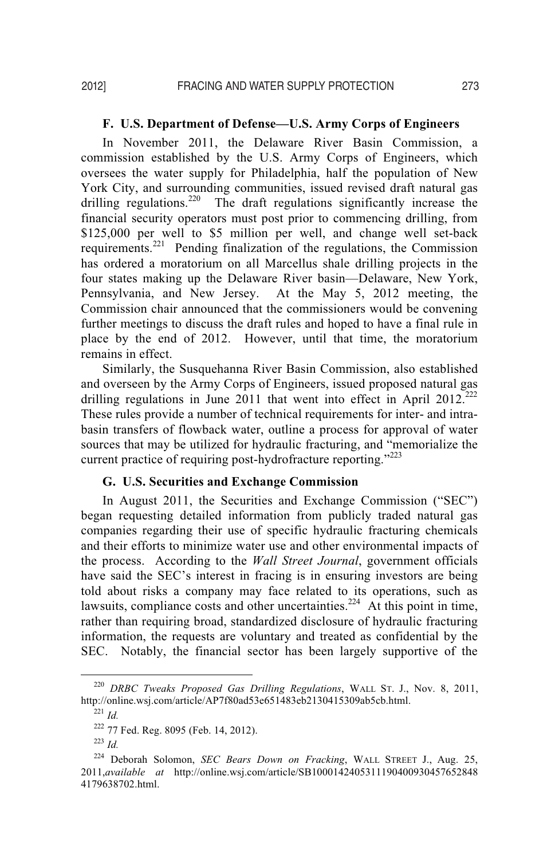#### **F. U.S. Department of Defense—U.S. Army Corps of Engineers**

In November 2011, the Delaware River Basin Commission, a commission established by the U.S. Army Corps of Engineers, which oversees the water supply for Philadelphia, half the population of New York City, and surrounding communities, issued revised draft natural gas drilling regulations.<sup>220</sup> The draft regulations significantly increase the financial security operators must post prior to commencing drilling, from \$125,000 per well to \$5 million per well, and change well set-back requirements.221 Pending finalization of the regulations, the Commission has ordered a moratorium on all Marcellus shale drilling projects in the four states making up the Delaware River basin—Delaware, New York, Pennsylvania, and New Jersey. At the May 5, 2012 meeting, the Commission chair announced that the commissioners would be convening further meetings to discuss the draft rules and hoped to have a final rule in place by the end of 2012. However, until that time, the moratorium remains in effect.

Similarly, the Susquehanna River Basin Commission, also established and overseen by the Army Corps of Engineers, issued proposed natural gas drilling regulations in June 2011 that went into effect in April 2012.<sup>222</sup> These rules provide a number of technical requirements for inter- and intrabasin transfers of flowback water, outline a process for approval of water sources that may be utilized for hydraulic fracturing, and "memorialize the current practice of requiring post-hydrofracture reporting."<sup>223</sup>

#### **G. U.S. Securities and Exchange Commission**

In August 2011, the Securities and Exchange Commission ("SEC") began requesting detailed information from publicly traded natural gas companies regarding their use of specific hydraulic fracturing chemicals and their efforts to minimize water use and other environmental impacts of the process. According to the *Wall Street Journal*, government officials have said the SEC's interest in fracing is in ensuring investors are being told about risks a company may face related to its operations, such as lawsuits, compliance costs and other uncertainties.<sup>224</sup> At this point in time, rather than requiring broad, standardized disclosure of hydraulic fracturing information, the requests are voluntary and treated as confidential by the SEC. Notably, the financial sector has been largely supportive of the

 <sup>220</sup> *DRBC Tweaks Proposed Gas Drilling Regulations*, WALL ST. J., Nov. 8, 2011, http://online.wsj.com/article/AP7f80ad53e651483eb2130415309ab5cb.html. 221 *Id.* 

<sup>222 77</sup> Fed. Reg. 8095 (Feb. 14, 2012). 223 *Id.* 

<sup>224</sup> Deborah Solomon, *SEC Bears Down on Fracking*, WALL STREET J., Aug. 25, 2011,*available at* http://online.wsj.com/article/SB1000142405311190400930457652848 4179638702.html.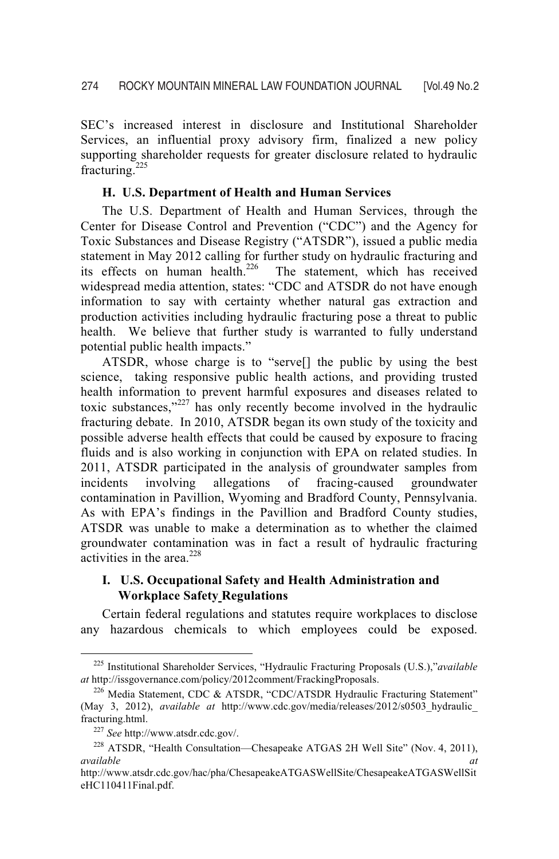SEC's increased interest in disclosure and Institutional Shareholder Services, an influential proxy advisory firm, finalized a new policy supporting shareholder requests for greater disclosure related to hydraulic fracturing.<sup>225</sup>

#### **H. U.S. Department of Health and Human Services**

 The U.S. Department of Health and Human Services, through the Center for Disease Control and Prevention ("CDC") and the Agency for Toxic Substances and Disease Registry ("ATSDR"), issued a public media statement in May 2012 calling for further study on hydraulic fracturing and its effects on human health.<sup>226</sup> The statement, which has received The statement, which has received widespread media attention, states: "CDC and ATSDR do not have enough information to say with certainty whether natural gas extraction and production activities including hydraulic fracturing pose a threat to public health. We believe that further study is warranted to fully understand potential public health impacts."

 ATSDR, whose charge is to "serve[] the public by using the best science, taking responsive public health actions, and providing trusted health information to prevent harmful exposures and diseases related to toxic substances,"227 has only recently become involved in the hydraulic fracturing debate. In 2010, ATSDR began its own study of the toxicity and possible adverse health effects that could be caused by exposure to fracing fluids and is also working in conjunction with EPA on related studies. In 2011, ATSDR participated in the analysis of groundwater samples from incidents involving allegations of fracing-caused groundwater contamination in Pavillion, Wyoming and Bradford County, Pennsylvania. As with EPA's findings in the Pavillion and Bradford County studies, ATSDR was unable to make a determination as to whether the claimed groundwater contamination was in fact a result of hydraulic fracturing activities in the area. $228$ 

# **I. U.S. Occupational Safety and Health Administration and Workplace Safety Regulations**

 Certain federal regulations and statutes require workplaces to disclose any hazardous chemicals to which employees could be exposed.

 <sup>225</sup> Institutional Shareholder Services, "Hydraulic Fracturing Proposals (U.S.),"*available at* http://issgovernance.com/policy/2012comment/FrackingProposals.

<sup>226</sup> Media Statement, CDC & ATSDR, "CDC/ATSDR Hydraulic Fracturing Statement" (May 3, 2012), *available at* http://www.cdc.gov/media/releases/2012/s0503\_hydraulic\_ fracturing.html.<br><sup>227</sup> *See* http://www.atsdr.cdc.gov/.<br><sup>228</sup> ATSDR, "Health Consultation—Chesapeake ATGAS 2H Well Site" (Nov. 4, 2011),

*available* at a *available* and *at* 

http://www.atsdr.cdc.gov/hac/pha/ChesapeakeATGASWellSite/ChesapeakeATGASWellSit eHC110411Final.pdf.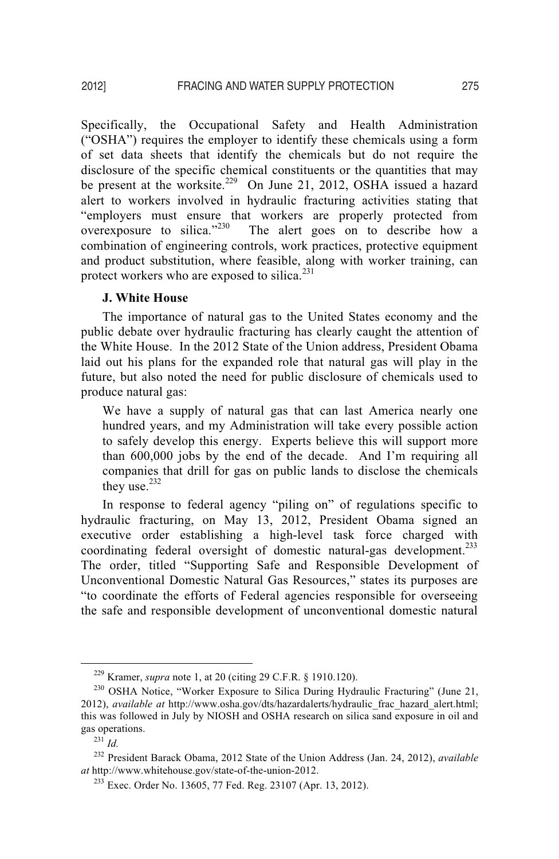Specifically, the Occupational Safety and Health Administration ("OSHA") requires the employer to identify these chemicals using a form of set data sheets that identify the chemicals but do not require the disclosure of the specific chemical constituents or the quantities that may be present at the worksite.<sup>229</sup> On June 21, 2012, OSHA issued a hazard alert to workers involved in hydraulic fracturing activities stating that "employers must ensure that workers are properly protected from overexposure to silica."230 The alert goes on to describe how a combination of engineering controls, work practices, protective equipment and product substitution, where feasible, along with worker training, can protect workers who are exposed to silica. $231$ 

#### **J. White House**

The importance of natural gas to the United States economy and the public debate over hydraulic fracturing has clearly caught the attention of the White House. In the 2012 State of the Union address, President Obama laid out his plans for the expanded role that natural gas will play in the future, but also noted the need for public disclosure of chemicals used to produce natural gas:

We have a supply of natural gas that can last America nearly one hundred years, and my Administration will take every possible action to safely develop this energy. Experts believe this will support more than 600,000 jobs by the end of the decade. And I'm requiring all companies that drill for gas on public lands to disclose the chemicals they use. $232$ 

In response to federal agency "piling on" of regulations specific to hydraulic fracturing, on May 13, 2012, President Obama signed an executive order establishing a high-level task force charged with coordinating federal oversight of domestic natural-gas development.<sup>233</sup> The order, titled "Supporting Safe and Responsible Development of Unconventional Domestic Natural Gas Resources," states its purposes are "to coordinate the efforts of Federal agencies responsible for overseeing the safe and responsible development of unconventional domestic natural

<sup>&</sup>lt;sup>229</sup> Kramer, *supra* note 1, at 20 (citing 29 C.F.R. § 1910.120).<br><sup>230</sup> OSHA Notice, "Worker Exposure to Silica During Hydraulic Fracturing" (June 21, 2012), *available at* http://www.osha.gov/dts/hazardalerts/hydraulic\_frac\_hazard\_alert.html; this was followed in July by NIOSH and OSHA research on silica sand exposure in oil and gas operations. 231 *Id.* 

<sup>232</sup> President Barack Obama, 2012 State of the Union Address (Jan. 24, 2012), *available at* http://www.whitehouse.gov/state-of-the-union-2012.

<sup>233</sup> Exec. Order No. 13605, 77 Fed. Reg. 23107 (Apr. 13, 2012).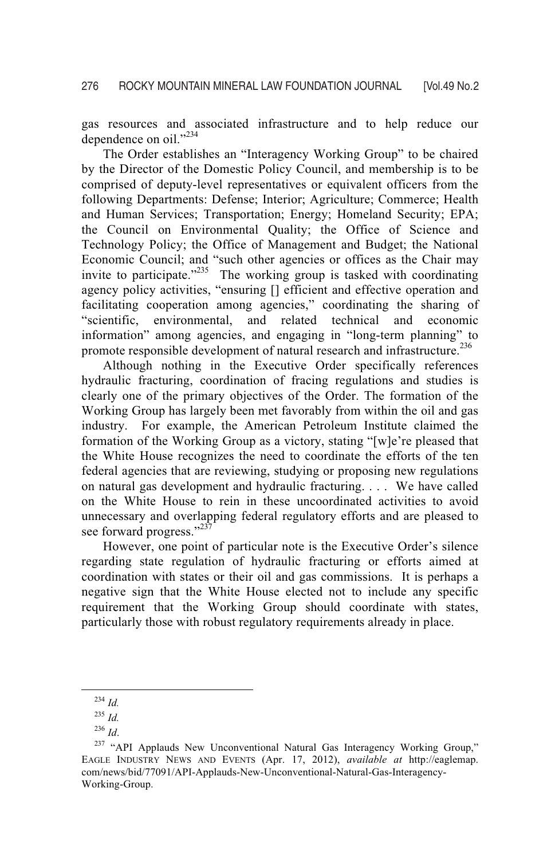gas resources and associated infrastructure and to help reduce our dependence on oil."<sup>234</sup>

The Order establishes an "Interagency Working Group" to be chaired by the Director of the Domestic Policy Council, and membership is to be comprised of deputy-level representatives or equivalent officers from the following Departments: Defense; Interior; Agriculture; Commerce; Health and Human Services; Transportation; Energy; Homeland Security; EPA; the Council on Environmental Quality; the Office of Science and Technology Policy; the Office of Management and Budget; the National Economic Council; and "such other agencies or offices as the Chair may invite to participate.<sup> $2^{235}$ </sup> The working group is tasked with coordinating agency policy activities, "ensuring [] efficient and effective operation and facilitating cooperation among agencies," coordinating the sharing of "scientific, environmental, and related technical and economic information" among agencies, and engaging in "long-term planning" to promote responsible development of natural research and infrastructure.<sup>236</sup>

Although nothing in the Executive Order specifically references hydraulic fracturing, coordination of fracing regulations and studies is clearly one of the primary objectives of the Order. The formation of the Working Group has largely been met favorably from within the oil and gas industry. For example, the American Petroleum Institute claimed the formation of the Working Group as a victory, stating "[w]e're pleased that the White House recognizes the need to coordinate the efforts of the ten federal agencies that are reviewing, studying or proposing new regulations on natural gas development and hydraulic fracturing. . . . We have called on the White House to rein in these uncoordinated activities to avoid unnecessary and overlapping federal regulatory efforts and are pleased to see forward progress."<sup>237</sup>

However, one point of particular note is the Executive Order's silence regarding state regulation of hydraulic fracturing or efforts aimed at coordination with states or their oil and gas commissions. It is perhaps a negative sign that the White House elected not to include any specific requirement that the Working Group should coordinate with states, particularly those with robust regulatory requirements already in place.

 <sup>234</sup> *Id.* 

 $^{235}$  *Id.* 

<sup>&</sup>lt;sup>236</sup> *Id*.<br><sup>237</sup> "API Applauds New Unconventional Natural Gas Interagency Working Group," EAGLE INDUSTRY NEWS AND EVENTS (Apr. 17, 2012), *available at* http://eaglemap. com/news/bid/77091/API-Applauds-New-Unconventional-Natural-Gas-Interagency-Working-Group.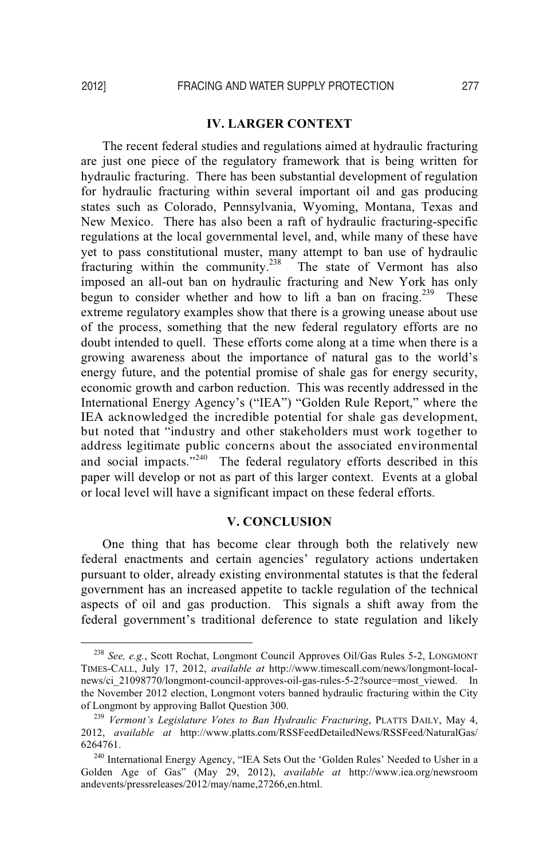# **IV. LARGER CONTEXT**

 The recent federal studies and regulations aimed at hydraulic fracturing are just one piece of the regulatory framework that is being written for hydraulic fracturing. There has been substantial development of regulation for hydraulic fracturing within several important oil and gas producing states such as Colorado, Pennsylvania, Wyoming, Montana, Texas and New Mexico. There has also been a raft of hydraulic fracturing-specific regulations at the local governmental level, and, while many of these have yet to pass constitutional muster, many attempt to ban use of hydraulic fracturing within the community.<sup>238</sup> The state of Vermont has also imposed an all-out ban on hydraulic fracturing and New York has only begun to consider whether and how to lift a ban on fracing.<sup>239</sup> These extreme regulatory examples show that there is a growing unease about use of the process, something that the new federal regulatory efforts are no doubt intended to quell. These efforts come along at a time when there is a growing awareness about the importance of natural gas to the world's energy future, and the potential promise of shale gas for energy security, economic growth and carbon reduction. This was recently addressed in the International Energy Agency's ("IEA") "Golden Rule Report," where the IEA acknowledged the incredible potential for shale gas development, but noted that "industry and other stakeholders must work together to address legitimate public concerns about the associated environmental and social impacts."<sup>240</sup> The federal regulatory efforts described in this paper will develop or not as part of this larger context. Events at a global or local level will have a significant impact on these federal efforts.

## **V. CONCLUSION**

One thing that has become clear through both the relatively new federal enactments and certain agencies' regulatory actions undertaken pursuant to older, already existing environmental statutes is that the federal government has an increased appetite to tackle regulation of the technical aspects of oil and gas production. This signals a shift away from the federal government's traditional deference to state regulation and likely

 <sup>238</sup> *See, e.g.*, Scott Rochat, Longmont Council Approves Oil/Gas Rules 5-2, LONGMONT TIMES-CALL, July 17, 2012, *available at* http://www.timescall.com/news/longmont-localnews/ci\_21098770/longmont-council-approves-oil-gas-rules-5-2?source=most\_viewed. In the November 2012 election, Longmont voters banned hydraulic fracturing within the City of Longmont by approving Ballot Ouestion 300.

<sup>&</sup>lt;sup>239</sup> Vermont's Legislature Votes to Ban Hydraulic Fracturing, PLATTS DAILY, May 4, 2012, *available at* http://www.platts.com/RSSFeedDetailedNews/RSSFeed/NaturalGas/ 6264761. 240 International Energy Agency, "IEA Sets Out the 'Golden Rules' Needed to Usher in a

Golden Age of Gas" (May 29, 2012), *available at* http://www.iea.org/newsroom andevents/pressreleases/2012/may/name,27266,en.html.